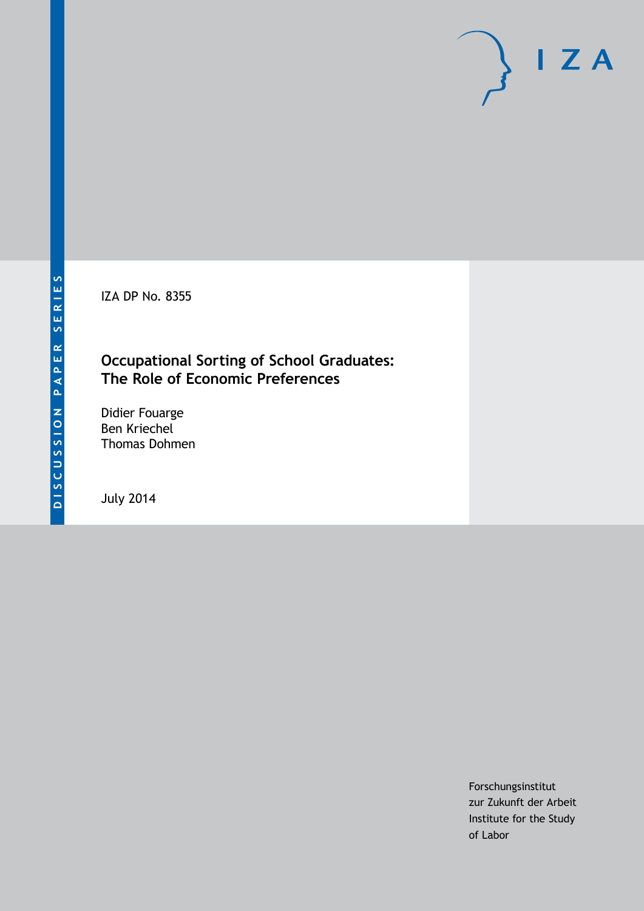IZA DP No. 8355

## **Occupational Sorting of School Graduates: The Role of Economic Preferences**

Didier Fouarge Ben Kriechel Thomas Dohmen

July 2014

Forschungsinstitut zur Zukunft der Arbeit Institute for the Study of Labor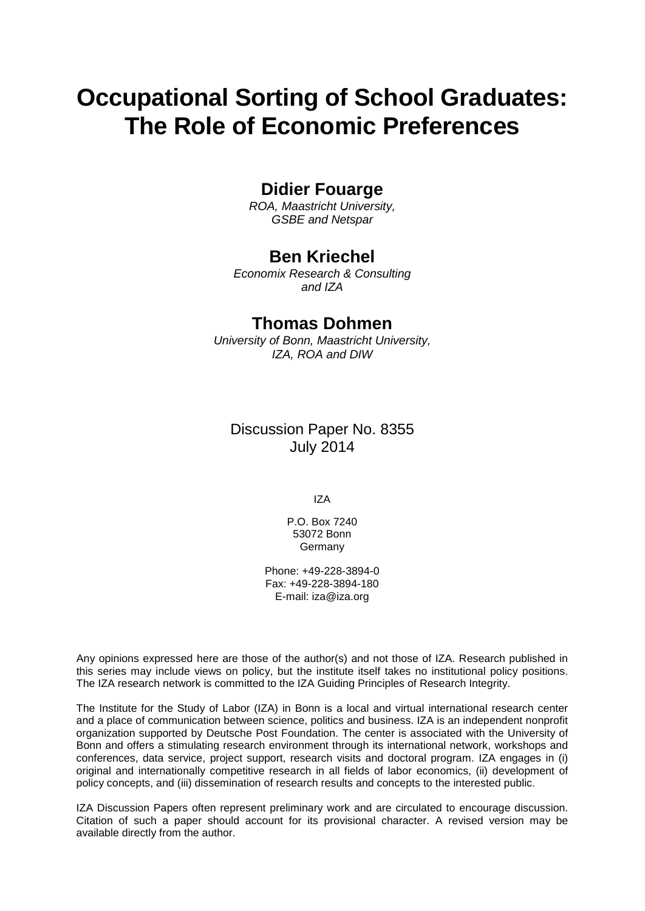# **Occupational Sorting of School Graduates: The Role of Economic Preferences**

## **Didier Fouarge**

*ROA, Maastricht University, GSBE and Netspar*

## **Ben Kriechel**

*Economix Research & Consulting and IZA*

### **Thomas Dohmen**

*University of Bonn, Maastricht University, IZA, ROA and DIW*

Discussion Paper No. 8355 July 2014

IZA

P.O. Box 7240 53072 Bonn Germany

Phone: +49-228-3894-0 Fax: +49-228-3894-180 E-mail: [iza@iza.org](mailto:iza@iza.org)

Any opinions expressed here are those of the author(s) and not those of IZA. Research published in this series may include views on policy, but the institute itself takes no institutional policy positions. The IZA research network is committed to the IZA Guiding Principles of Research Integrity.

The Institute for the Study of Labor (IZA) in Bonn is a local and virtual international research center and a place of communication between science, politics and business. IZA is an independent nonprofit organization supported by Deutsche Post Foundation. The center is associated with the University of Bonn and offers a stimulating research environment through its international network, workshops and conferences, data service, project support, research visits and doctoral program. IZA engages in (i) original and internationally competitive research in all fields of labor economics, (ii) development of policy concepts, and (iii) dissemination of research results and concepts to the interested public.

<span id="page-1-0"></span>IZA Discussion Papers often represent preliminary work and are circulated to encourage discussion. Citation of such a paper should account for its provisional character. A revised version may be available directly from the author.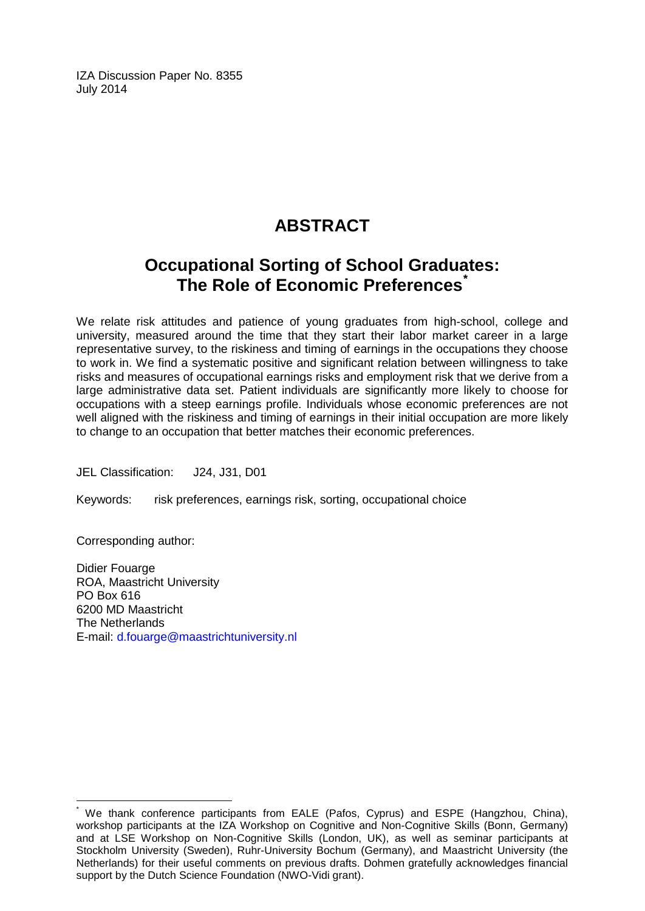IZA Discussion Paper No. 8355 July 2014

## **ABSTRACT**

## **Occupational Sorting of School Graduates: The Role of Economic Preferences[\\*](#page-1-0)**

We relate risk attitudes and patience of young graduates from high-school, college and university, measured around the time that they start their labor market career in a large representative survey, to the riskiness and timing of earnings in the occupations they choose to work in. We find a systematic positive and significant relation between willingness to take risks and measures of occupational earnings risks and employment risk that we derive from a large administrative data set. Patient individuals are significantly more likely to choose for occupations with a steep earnings profile. Individuals whose economic preferences are not well aligned with the riskiness and timing of earnings in their initial occupation are more likely to change to an occupation that better matches their economic preferences.

JEL Classification: J24, J31, D01

Keywords: risk preferences, earnings risk, sorting, occupational choice

Corresponding author:

Didier Fouarge ROA, Maastricht University PO Box 616 6200 MD Maastricht The Netherlands E-mail: [d.fouarge@maastrichtuniversity.nl](mailto:d.fouarge@maastrichtuniversity.nl)

We thank conference participants from EALE (Pafos, Cyprus) and ESPE (Hangzhou, China), workshop participants at the IZA Workshop on Cognitive and Non-Cognitive Skills (Bonn, Germany) and at LSE Workshop on Non-Cognitive Skills (London, UK), as well as seminar participants at Stockholm University (Sweden), Ruhr-University Bochum (Germany), and Maastricht University (the Netherlands) for their useful comments on previous drafts. Dohmen gratefully acknowledges financial support by the Dutch Science Foundation (NWO-Vidi grant).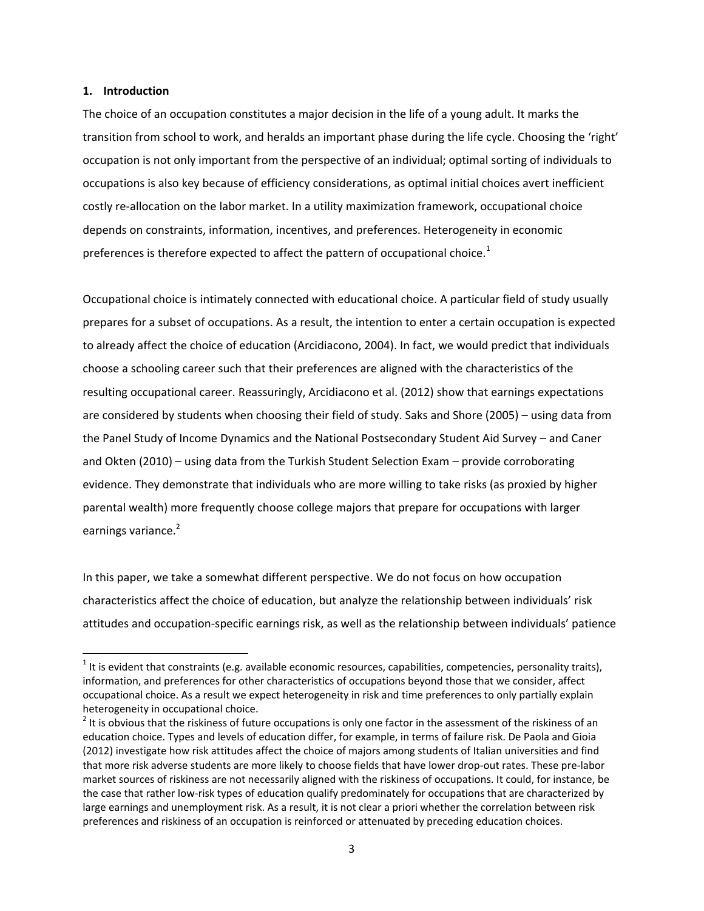#### **1. Introduction**

 $\overline{\phantom{a}}$ 

The choice of an occupation constitutes a major decision in the life of a young adult. It marks the transition from school to work, and heralds an important phase during the life cycle. Choosing the 'right' occupation is not only important from the perspective of an individual; optimal sorting of individuals to occupations is also key because of efficiency considerations, as optimal initial choices avert inefficient costly re-allocation on the labor market. In a utility maximization framework, occupational choice depends on constraints, information, incentives, and preferences. Heterogeneity in economic preferences is therefore expected to affect the pattern of occupational choice.<sup>1</sup>

Occupational choice is intimately connected with educational choice. A particular field of study usually prepares for a subset of occupations. As a result, the intention to enter a certain occupation is expected to already affect the choice of education (Arcidiacono, 2004). In fact, we would predict that individuals choose a schooling career such that their preferences are aligned with the characteristics of the resulting occupational career. Reassuringly, Arcidiacono et al. (2012) show that earnings expectations are considered by students when choosing their field of study. Saks and Shore (2005) – using data from the Panel Study of Income Dynamics and the National Postsecondary Student Aid Survey – and Caner and Okten (2010) – using data from the Turkish Student Selection Exam – provide corroborating evidence. They demonstrate that individuals who are more willing to take risks (as proxied by higher parental wealth) more frequently choose college majors that prepare for occupations with larger earnings variance.<sup>2</sup>

In this paper, we take a somewhat different perspective. We do not focus on how occupation characteristics affect the choice of education, but analyze the relationship between individuals' risk attitudes and occupation-specific earnings risk, as well as the relationship between individuals' patience

 $1$  It is evident that constraints (e.g. available economic resources, capabilities, competencies, personality traits), information, and preferences for other characteristics of occupations beyond those that we consider, affect occupational choice. As a result we expect heterogeneity in risk and time preferences to only partially explain heterogeneity in occupational choice.

 $2$  It is obvious that the riskiness of future occupations is only one factor in the assessment of the riskiness of an education choice. Types and levels of education differ, for example, in terms of failure risk. De Paola and Gioia (2012) investigate how risk attitudes affect the choice of majors among students of Italian universities and find that more risk adverse students are more likely to choose fields that have lower drop-out rates. These pre-labor market sources of riskiness are not necessarily aligned with the riskiness of occupations. It could, for instance, be the case that rather low-risk types of education qualify predominately for occupations that are characterized by large earnings and unemployment risk. As a result, it is not clear a priori whether the correlation between risk preferences and riskiness of an occupation is reinforced or attenuated by preceding education choices.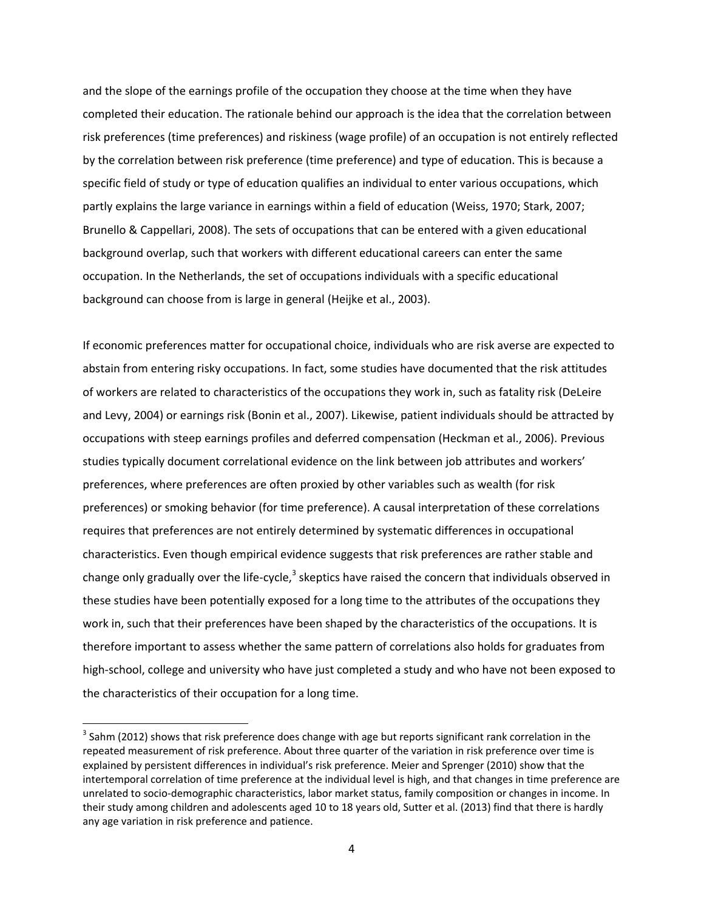and the slope of the earnings profile of the occupation they choose at the time when they have completed their education. The rationale behind our approach is the idea that the correlation between risk preferences (time preferences) and riskiness (wage profile) of an occupation is not entirely reflected by the correlation between risk preference (time preference) and type of education. This is because a specific field of study or type of education qualifies an individual to enter various occupations, which partly explains the large variance in earnings within a field of education (Weiss, 1970; Stark, 2007; Brunello & Cappellari, 2008). The sets of occupations that can be entered with a given educational background overlap, such that workers with different educational careers can enter the same occupation. In the Netherlands, the set of occupations individuals with a specific educational background can choose from is large in general (Heijke et al., 2003).

If economic preferences matter for occupational choice, individuals who are risk averse are expected to abstain from entering risky occupations. In fact, some studies have documented that the risk attitudes of workers are related to characteristics of the occupations they work in, such as fatality risk (DeLeire and Levy, 2004) or earnings risk (Bonin et al., 2007). Likewise, patient individuals should be attracted by occupations with steep earnings profiles and deferred compensation (Heckman et al., 2006). Previous studies typically document correlational evidence on the link between job attributes and workers' preferences, where preferences are often proxied by other variables such as wealth (for risk preferences) or smoking behavior (for time preference). A causal interpretation of these correlations requires that preferences are not entirely determined by systematic differences in occupational characteristics. Even though empirical evidence suggests that risk preferences are rather stable and change only gradually over the life-cycle,<sup>3</sup> skeptics have raised the concern that individuals observed in these studies have been potentially exposed for a long time to the attributes of the occupations they work in, such that their preferences have been shaped by the characteristics of the occupations. It is therefore important to assess whether the same pattern of correlations also holds for graduates from high-school, college and university who have just completed a study and who have not been exposed to the characteristics of their occupation for a long time.

 $^3$  Sahm (2012) shows that risk preference does change with age but reports significant rank correlation in the repeated measurement of risk preference. About three quarter of the variation in risk preference over time is explained by persistent differences in individual's risk preference. Meier and Sprenger (2010) show that the intertemporal correlation of time preference at the individual level is high, and that changes in time preference are unrelated to socio-demographic characteristics, labor market status, family composition or changes in income. In their study among children and adolescents aged 10 to 18 years old, Sutter et al. (2013) find that there is hardly any age variation in risk preference and patience.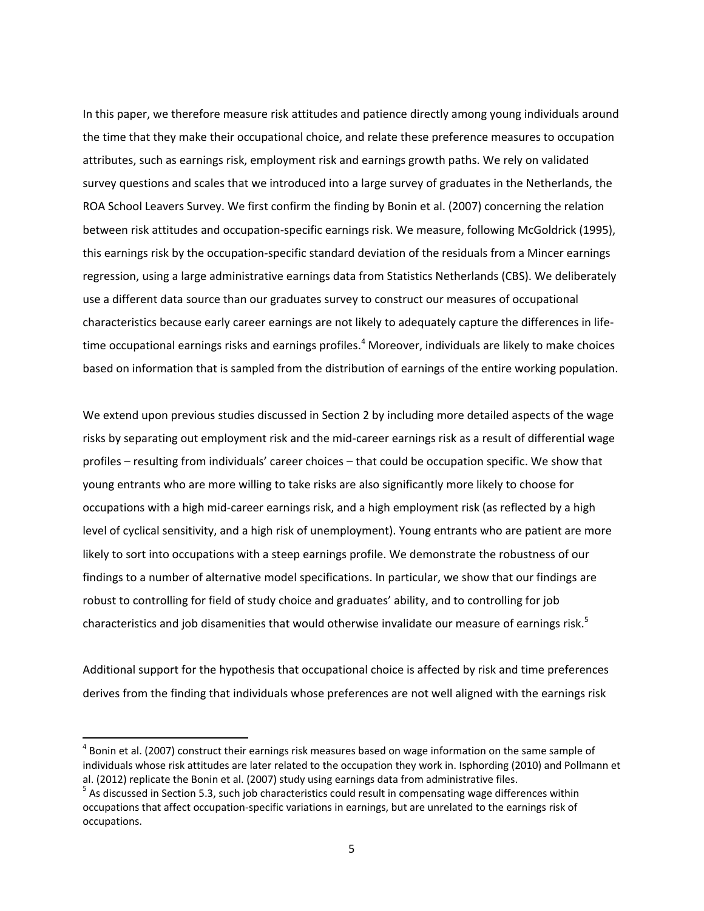In this paper, we therefore measure risk attitudes and patience directly among young individuals around the time that they make their occupational choice, and relate these preference measures to occupation attributes, such as earnings risk, employment risk and earnings growth paths. We rely on validated survey questions and scales that we introduced into a large survey of graduates in the Netherlands, the ROA School Leavers Survey. We first confirm the finding by Bonin et al. (2007) concerning the relation between risk attitudes and occupation-specific earnings risk. We measure, following McGoldrick (1995), this earnings risk by the occupation-specific standard deviation of the residuals from a Mincer earnings regression, using a large administrative earnings data from Statistics Netherlands (CBS). We deliberately use a different data source than our graduates survey to construct our measures of occupational characteristics because early career earnings are not likely to adequately capture the differences in lifetime occupational earnings risks and earnings profiles.<sup>4</sup> Moreover, individuals are likely to make choices based on information that is sampled from the distribution of earnings of the entire working population.

We extend upon previous studies discussed in Section 2 by including more detailed aspects of the wage risks by separating out employment risk and the mid-career earnings risk as a result of differential wage profiles – resulting from individuals' career choices – that could be occupation specific. We show that young entrants who are more willing to take risks are also significantly more likely to choose for occupations with a high mid-career earnings risk, and a high employment risk (as reflected by a high level of cyclical sensitivity, and a high risk of unemployment). Young entrants who are patient are more likely to sort into occupations with a steep earnings profile. We demonstrate the robustness of our findings to a number of alternative model specifications. In particular, we show that our findings are robust to controlling for field of study choice and graduates' ability, and to controlling for job characteristics and job disamenities that would otherwise invalidate our measure of earnings risk.<sup>5</sup>

Additional support for the hypothesis that occupational choice is affected by risk and time preferences derives from the finding that individuals whose preferences are not well aligned with the earnings risk

 $^4$  Bonin et al. (2007) construct their earnings risk measures based on wage information on the same sample of individuals whose risk attitudes are later related to the occupation they work in. Isphording (2010) and Pollmann et al. (2012) replicate the Bonin et al. (2007) study using earnings data from administrative files.

<sup>&</sup>lt;sup>5</sup> As discussed in Section 5.3, such job characteristics could result in compensating wage differences within occupations that affect occupation-specific variations in earnings, but are unrelated to the earnings risk of occupations.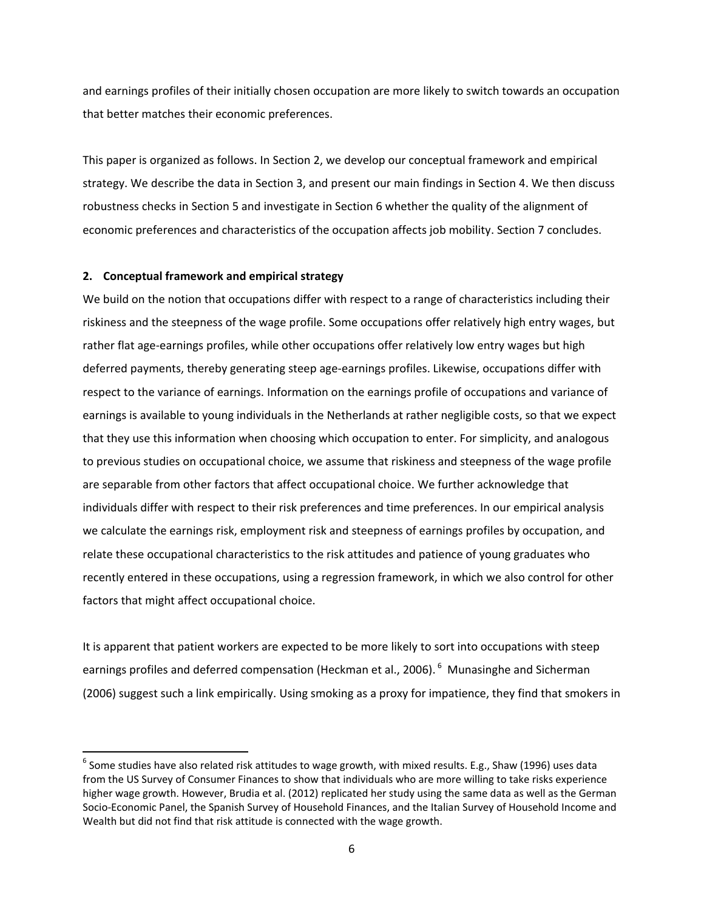and earnings profiles of their initially chosen occupation are more likely to switch towards an occupation that better matches their economic preferences.

This paper is organized as follows. In Section 2, we develop our conceptual framework and empirical strategy. We describe the data in Section 3, and present our main findings in Section 4. We then discuss robustness checks in Section 5 and investigate in Section 6 whether the quality of the alignment of economic preferences and characteristics of the occupation affects job mobility. Section 7 concludes.

#### **2. Conceptual framework and empirical strategy**

 $\overline{\phantom{a}}$ 

We build on the notion that occupations differ with respect to a range of characteristics including their riskiness and the steepness of the wage profile. Some occupations offer relatively high entry wages, but rather flat age-earnings profiles, while other occupations offer relatively low entry wages but high deferred payments, thereby generating steep age-earnings profiles. Likewise, occupations differ with respect to the variance of earnings. Information on the earnings profile of occupations and variance of earnings is available to young individuals in the Netherlands at rather negligible costs, so that we expect that they use this information when choosing which occupation to enter. For simplicity, and analogous to previous studies on occupational choice, we assume that riskiness and steepness of the wage profile are separable from other factors that affect occupational choice. We further acknowledge that individuals differ with respect to their risk preferences and time preferences. In our empirical analysis we calculate the earnings risk, employment risk and steepness of earnings profiles by occupation, and relate these occupational characteristics to the risk attitudes and patience of young graduates who recently entered in these occupations, using a regression framework, in which we also control for other factors that might affect occupational choice.

It is apparent that patient workers are expected to be more likely to sort into occupations with steep earnings profiles and deferred compensation (Heckman et al., 2006).<sup>6</sup> Munasinghe and Sicherman (2006) suggest such a link empirically. Using smoking as a proxy for impatience, they find that smokers in

 $^6$  Some studies have also related risk attitudes to wage growth, with mixed results. E.g., Shaw (1996) uses data from the US Survey of Consumer Finances to show that individuals who are more willing to take risks experience higher wage growth. However, Brudia et al. (2012) replicated her study using the same data as well as the German Socio-Economic Panel, the Spanish Survey of Household Finances, and the Italian Survey of Household Income and Wealth but did not find that risk attitude is connected with the wage growth.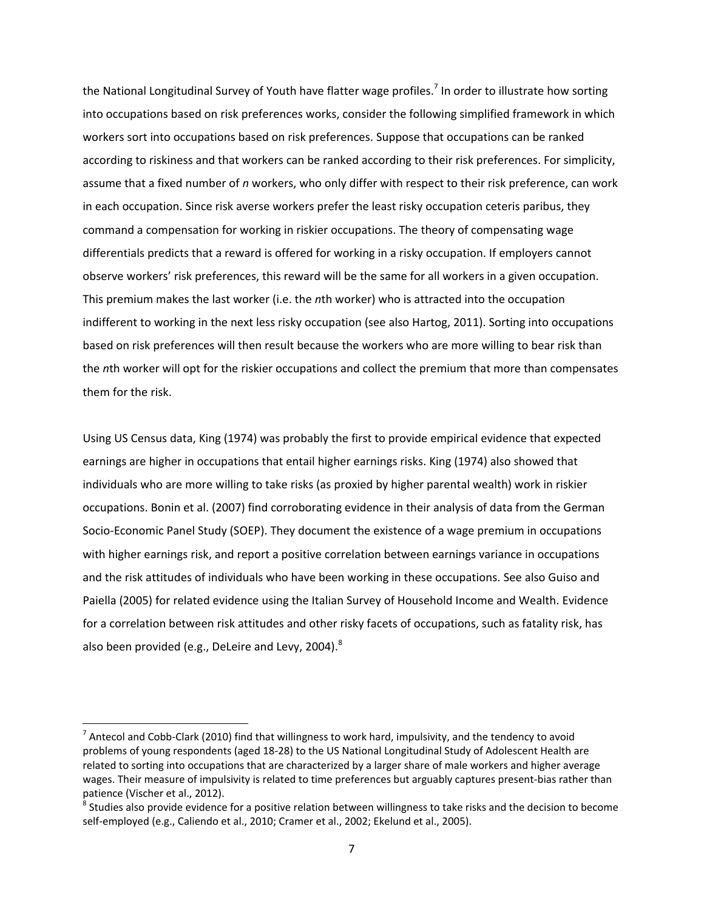the National Longitudinal Survey of Youth have flatter wage profiles.<sup>7</sup> In order to illustrate how sorting into occupations based on risk preferences works, consider the following simplified framework in which workers sort into occupations based on risk preferences. Suppose that occupations can be ranked according to riskiness and that workers can be ranked according to their risk preferences. For simplicity, assume that a fixed number of *n* workers, who only differ with respect to their risk preference, can work in each occupation. Since risk averse workers prefer the least risky occupation ceteris paribus, they command a compensation for working in riskier occupations. The theory of compensating wage differentials predicts that a reward is offered for working in a risky occupation. If employers cannot observe workers' risk preferences, this reward will be the same for all workers in a given occupation. This premium makes the last worker (i.e. the *n*th worker) who is attracted into the occupation indifferent to working in the next less risky occupation (see also Hartog, 2011). Sorting into occupations based on risk preferences will then result because the workers who are more willing to bear risk than the *n*th worker will opt for the riskier occupations and collect the premium that more than compensates them for the risk.

Using US Census data, King (1974) was probably the first to provide empirical evidence that expected earnings are higher in occupations that entail higher earnings risks. King (1974) also showed that individuals who are more willing to take risks (as proxied by higher parental wealth) work in riskier occupations. Bonin et al. (2007) find corroborating evidence in their analysis of data from the German Socio-Economic Panel Study (SOEP). They document the existence of a wage premium in occupations with higher earnings risk, and report a positive correlation between earnings variance in occupations and the risk attitudes of individuals who have been working in these occupations. See also Guiso and Paiella (2005) for related evidence using the Italian Survey of Household Income and Wealth. Evidence for a correlation between risk attitudes and other risky facets of occupations, such as fatality risk, has also been provided (e.g., DeLeire and Levy, 2004).<sup>8</sup>

 $^7$  Antecol and Cobb-Clark (2010) find that willingness to work hard, impulsivity, and the tendency to avoid problems of young respondents (aged 18-28) to the US National Longitudinal Study of Adolescent Health are related to sorting into occupations that are characterized by a larger share of male workers and higher average wages. Their measure of impulsivity is related to time preferences but arguably captures present-bias rather than patience (Vischer et al., 2012).

 $^8$  Studies also provide evidence for a positive relation between willingness to take risks and the decision to become self-employed (e.g., Caliendo et al., 2010; Cramer et al., 2002; Ekelund et al., 2005).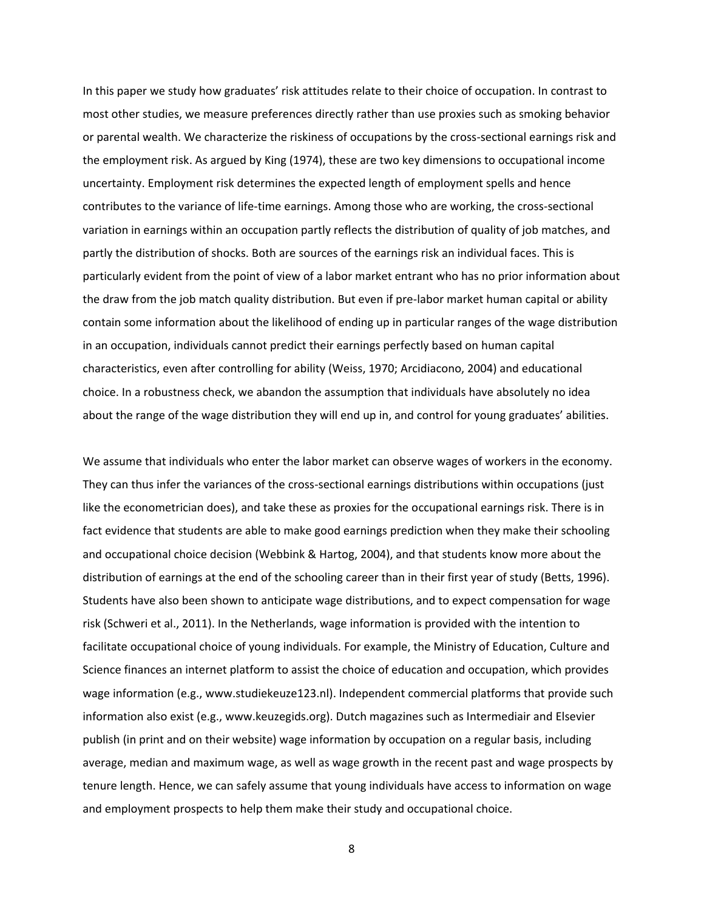In this paper we study how graduates' risk attitudes relate to their choice of occupation. In contrast to most other studies, we measure preferences directly rather than use proxies such as smoking behavior or parental wealth. We characterize the riskiness of occupations by the cross-sectional earnings risk and the employment risk. As argued by King (1974), these are two key dimensions to occupational income uncertainty. Employment risk determines the expected length of employment spells and hence contributes to the variance of life-time earnings. Among those who are working, the cross-sectional variation in earnings within an occupation partly reflects the distribution of quality of job matches, and partly the distribution of shocks. Both are sources of the earnings risk an individual faces. This is particularly evident from the point of view of a labor market entrant who has no prior information about the draw from the job match quality distribution. But even if pre-labor market human capital or ability contain some information about the likelihood of ending up in particular ranges of the wage distribution in an occupation, individuals cannot predict their earnings perfectly based on human capital characteristics, even after controlling for ability (Weiss, 1970; Arcidiacono, 2004) and educational choice. In a robustness check, we abandon the assumption that individuals have absolutely no idea about the range of the wage distribution they will end up in, and control for young graduates' abilities.

We assume that individuals who enter the labor market can observe wages of workers in the economy. They can thus infer the variances of the cross-sectional earnings distributions within occupations (just like the econometrician does), and take these as proxies for the occupational earnings risk. There is in fact evidence that students are able to make good earnings prediction when they make their schooling and occupational choice decision (Webbink & Hartog, 2004), and that students know more about the distribution of earnings at the end of the schooling career than in their first year of study (Betts, 1996). Students have also been shown to anticipate wage distributions, and to expect compensation for wage risk (Schweri et al., 2011). In the Netherlands, wage information is provided with the intention to facilitate occupational choice of young individuals. For example, the Ministry of Education, Culture and Science finances an internet platform to assist the choice of education and occupation, which provides wage information (e.g., www.studiekeuze123.nl). Independent commercial platforms that provide such information also exist (e.g., www.keuzegids.org). Dutch magazines such as Intermediair and Elsevier publish (in print and on their website) wage information by occupation on a regular basis, including average, median and maximum wage, as well as wage growth in the recent past and wage prospects by tenure length. Hence, we can safely assume that young individuals have access to information on wage and employment prospects to help them make their study and occupational choice.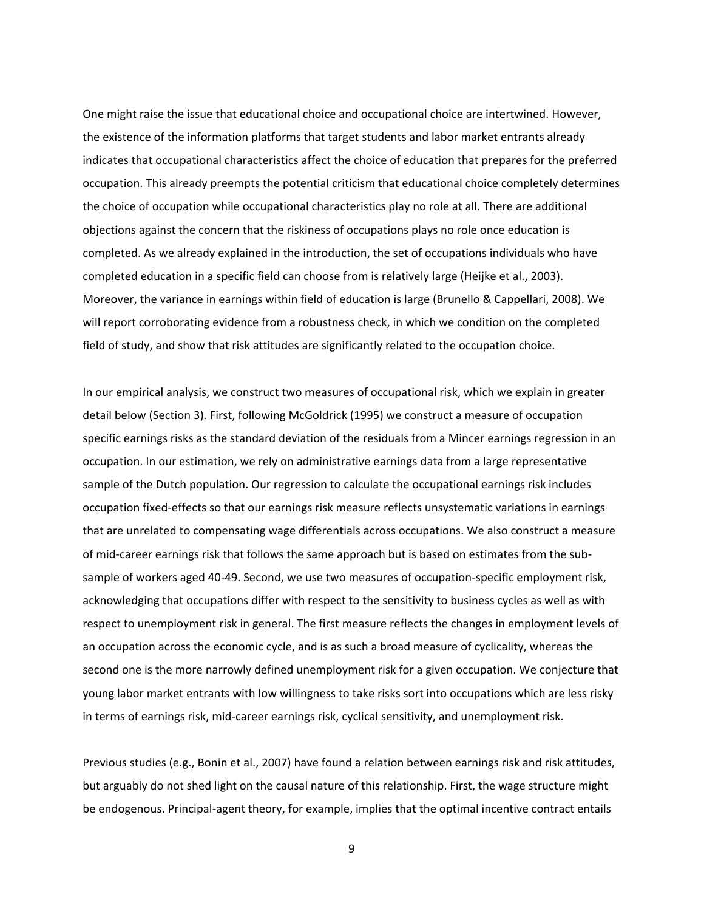One might raise the issue that educational choice and occupational choice are intertwined. However, the existence of the information platforms that target students and labor market entrants already indicates that occupational characteristics affect the choice of education that prepares for the preferred occupation. This already preempts the potential criticism that educational choice completely determines the choice of occupation while occupational characteristics play no role at all. There are additional objections against the concern that the riskiness of occupations plays no role once education is completed. As we already explained in the introduction, the set of occupations individuals who have completed education in a specific field can choose from is relatively large (Heijke et al., 2003). Moreover, the variance in earnings within field of education is large (Brunello & Cappellari, 2008). We will report corroborating evidence from a robustness check, in which we condition on the completed field of study, and show that risk attitudes are significantly related to the occupation choice.

In our empirical analysis, we construct two measures of occupational risk, which we explain in greater detail below (Section 3). First, following McGoldrick (1995) we construct a measure of occupation specific earnings risks as the standard deviation of the residuals from a Mincer earnings regression in an occupation. In our estimation, we rely on administrative earnings data from a large representative sample of the Dutch population. Our regression to calculate the occupational earnings risk includes occupation fixed-effects so that our earnings risk measure reflects unsystematic variations in earnings that are unrelated to compensating wage differentials across occupations. We also construct a measure of mid-career earnings risk that follows the same approach but is based on estimates from the subsample of workers aged 40-49. Second, we use two measures of occupation-specific employment risk, acknowledging that occupations differ with respect to the sensitivity to business cycles as well as with respect to unemployment risk in general. The first measure reflects the changes in employment levels of an occupation across the economic cycle, and is as such a broad measure of cyclicality, whereas the second one is the more narrowly defined unemployment risk for a given occupation. We conjecture that young labor market entrants with low willingness to take risks sort into occupations which are less risky in terms of earnings risk, mid-career earnings risk, cyclical sensitivity, and unemployment risk.

Previous studies (e.g., Bonin et al., 2007) have found a relation between earnings risk and risk attitudes, but arguably do not shed light on the causal nature of this relationship. First, the wage structure might be endogenous. Principal-agent theory, for example, implies that the optimal incentive contract entails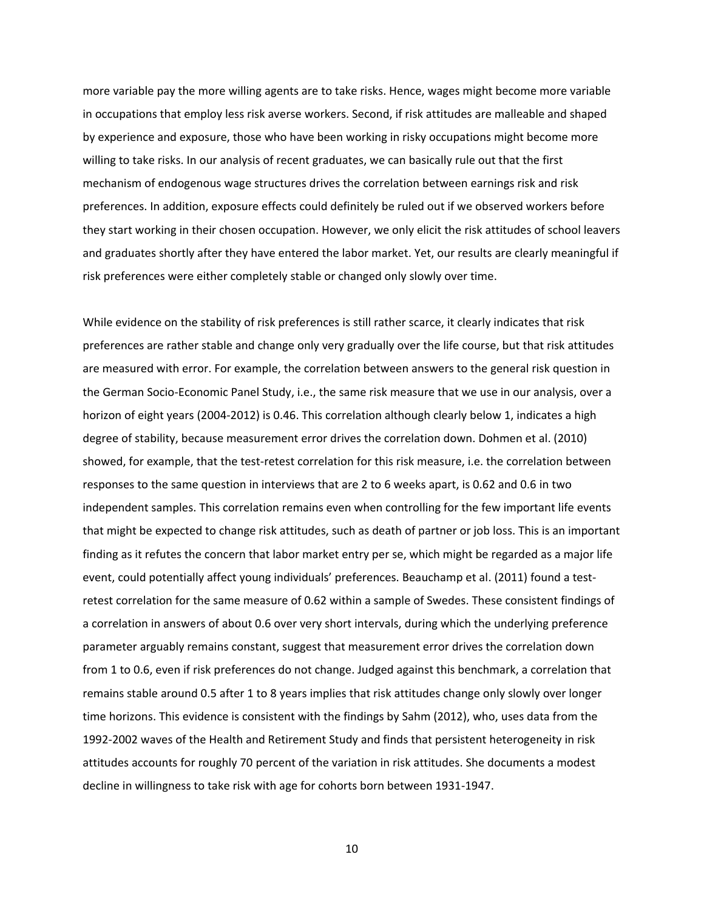more variable pay the more willing agents are to take risks. Hence, wages might become more variable in occupations that employ less risk averse workers. Second, if risk attitudes are malleable and shaped by experience and exposure, those who have been working in risky occupations might become more willing to take risks. In our analysis of recent graduates, we can basically rule out that the first mechanism of endogenous wage structures drives the correlation between earnings risk and risk preferences. In addition, exposure effects could definitely be ruled out if we observed workers before they start working in their chosen occupation. However, we only elicit the risk attitudes of school leavers and graduates shortly after they have entered the labor market. Yet, our results are clearly meaningful if risk preferences were either completely stable or changed only slowly over time.

While evidence on the stability of risk preferences is still rather scarce, it clearly indicates that risk preferences are rather stable and change only very gradually over the life course, but that risk attitudes are measured with error. For example, the correlation between answers to the general risk question in the German Socio-Economic Panel Study, i.e., the same risk measure that we use in our analysis, over a horizon of eight years (2004-2012) is 0.46. This correlation although clearly below 1, indicates a high degree of stability, because measurement error drives the correlation down. Dohmen et al. (2010) showed, for example, that the test-retest correlation for this risk measure, i.e. the correlation between responses to the same question in interviews that are 2 to 6 weeks apart, is 0.62 and 0.6 in two independent samples. This correlation remains even when controlling for the few important life events that might be expected to change risk attitudes, such as death of partner or job loss. This is an important finding as it refutes the concern that labor market entry per se, which might be regarded as a major life event, could potentially affect young individuals' preferences. Beauchamp et al. (2011) found a testretest correlation for the same measure of 0.62 within a sample of Swedes. These consistent findings of a correlation in answers of about 0.6 over very short intervals, during which the underlying preference parameter arguably remains constant, suggest that measurement error drives the correlation down from 1 to 0.6, even if risk preferences do not change. Judged against this benchmark, a correlation that remains stable around 0.5 after 1 to 8 years implies that risk attitudes change only slowly over longer time horizons. This evidence is consistent with the findings by Sahm (2012), who, uses data from the 1992-2002 waves of the Health and Retirement Study and finds that persistent heterogeneity in risk attitudes accounts for roughly 70 percent of the variation in risk attitudes. She documents a modest decline in willingness to take risk with age for cohorts born between 1931-1947.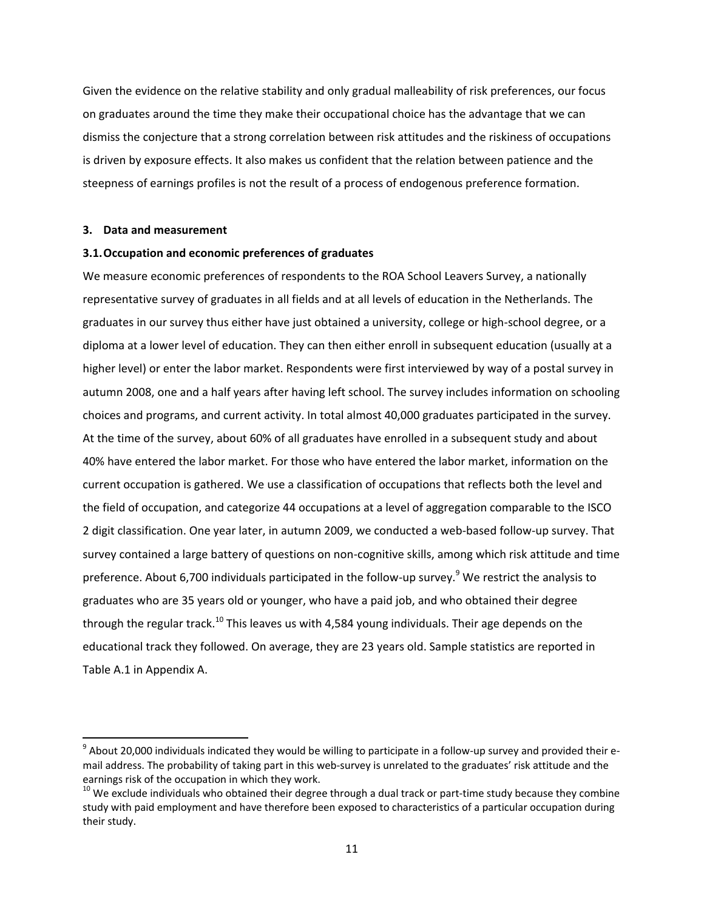Given the evidence on the relative stability and only gradual malleability of risk preferences, our focus on graduates around the time they make their occupational choice has the advantage that we can dismiss the conjecture that a strong correlation between risk attitudes and the riskiness of occupations is driven by exposure effects. It also makes us confident that the relation between patience and the steepness of earnings profiles is not the result of a process of endogenous preference formation.

#### **3. Data and measurement**

 $\overline{\phantom{a}}$ 

#### **3.1.Occupation and economic preferences of graduates**

We measure economic preferences of respondents to the ROA School Leavers Survey, a nationally representative survey of graduates in all fields and at all levels of education in the Netherlands. The graduates in our survey thus either have just obtained a university, college or high-school degree, or a diploma at a lower level of education. They can then either enroll in subsequent education (usually at a higher level) or enter the labor market. Respondents were first interviewed by way of a postal survey in autumn 2008, one and a half years after having left school. The survey includes information on schooling choices and programs, and current activity. In total almost 40,000 graduates participated in the survey. At the time of the survey, about 60% of all graduates have enrolled in a subsequent study and about 40% have entered the labor market. For those who have entered the labor market, information on the current occupation is gathered. We use a classification of occupations that reflects both the level and the field of occupation, and categorize 44 occupations at a level of aggregation comparable to the ISCO 2 digit classification. One year later, in autumn 2009, we conducted a web-based follow-up survey. That survey contained a large battery of questions on non-cognitive skills, among which risk attitude and time preference. About 6,700 individuals participated in the follow-up survey.<sup>9</sup> We restrict the analysis to graduates who are 35 years old or younger, who have a paid job, and who obtained their degree through the regular track.<sup>10</sup> This leaves us with 4,584 young individuals. Their age depends on the educational track they followed. On average, they are 23 years old. Sample statistics are reported in Table A.1 in Appendix A.

 $^9$  About 20,000 individuals indicated they would be willing to participate in a follow-up survey and provided their email address. The probability of taking part in this web-survey is unrelated to the graduates' risk attitude and the earnings risk of the occupation in which they work.

 $10$  We exclude individuals who obtained their degree through a dual track or part-time study because they combine study with paid employment and have therefore been exposed to characteristics of a particular occupation during their study.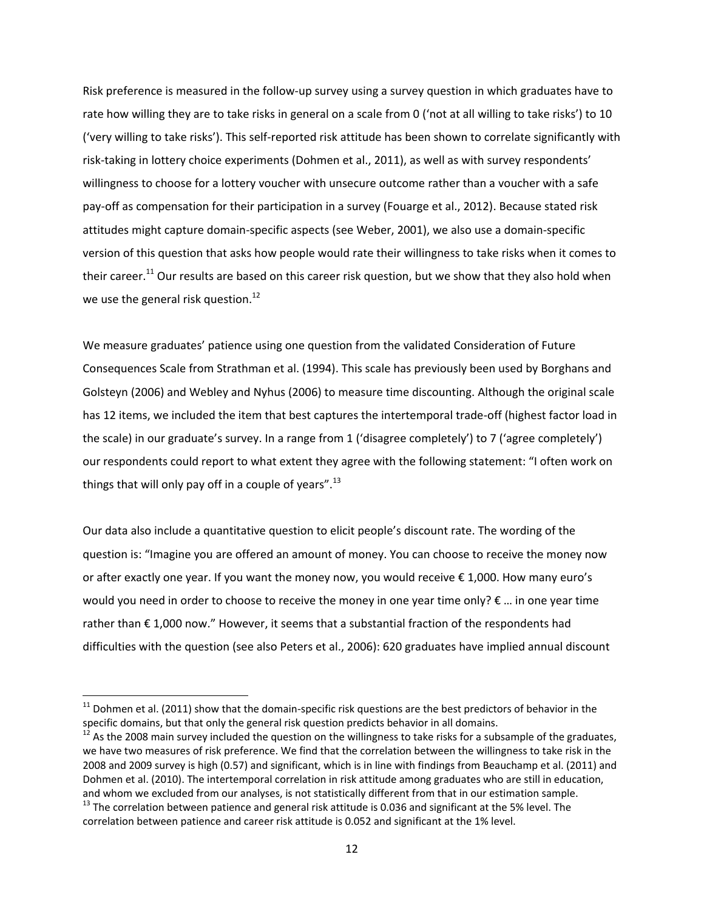Risk preference is measured in the follow-up survey using a survey question in which graduates have to rate how willing they are to take risks in general on a scale from 0 ('not at all willing to take risks') to 10 ('very willing to take risks'). This self-reported risk attitude has been shown to correlate significantly with risk-taking in lottery choice experiments (Dohmen et al., 2011), as well as with survey respondents' willingness to choose for a lottery voucher with unsecure outcome rather than a voucher with a safe pay-off as compensation for their participation in a survey (Fouarge et al., 2012). Because stated risk attitudes might capture domain-specific aspects (see Weber, 2001), we also use a domain-specific version of this question that asks how people would rate their willingness to take risks when it comes to their career.<sup>11</sup> Our results are based on this career risk question, but we show that they also hold when we use the general risk question.<sup>12</sup>

We measure graduates' patience using one question from the validated Consideration of Future Consequences Scale from Strathman et al. (1994). This scale has previously been used by Borghans and Golsteyn (2006) and Webley and Nyhus (2006) to measure time discounting. Although the original scale has 12 items, we included the item that best captures the intertemporal trade-off (highest factor load in the scale) in our graduate's survey. In a range from 1 ('disagree completely') to 7 ('agree completely') our respondents could report to what extent they agree with the following statement: "I often work on things that will only pay off in a couple of years". $^{13}$ 

Our data also include a quantitative question to elicit people's discount rate. The wording of the question is: "Imagine you are offered an amount of money. You can choose to receive the money now or after exactly one year. If you want the money now, you would receive  $\epsilon$  1,000. How many euro's would you need in order to choose to receive the money in one year time only? € ... in one year time rather than € 1,000 now." However, it seems that a substantial fraction of the respondents had difficulties with the question (see also Peters et al., 2006): 620 graduates have implied annual discount

 $11$  Dohmen et al. (2011) show that the domain-specific risk questions are the best predictors of behavior in the specific domains, but that only the general risk question predicts behavior in all domains.

 $12$  As the 2008 main survey included the question on the willingness to take risks for a subsample of the graduates, we have two measures of risk preference. We find that the correlation between the willingness to take risk in the 2008 and 2009 survey is high (0.57) and significant, which is in line with findings from Beauchamp et al. (2011) and Dohmen et al. (2010). The intertemporal correlation in risk attitude among graduates who are still in education, and whom we excluded from our analyses, is not statistically different from that in our estimation sample.

 $13$  The correlation between patience and general risk attitude is 0.036 and significant at the 5% level. The correlation between patience and career risk attitude is 0.052 and significant at the 1% level.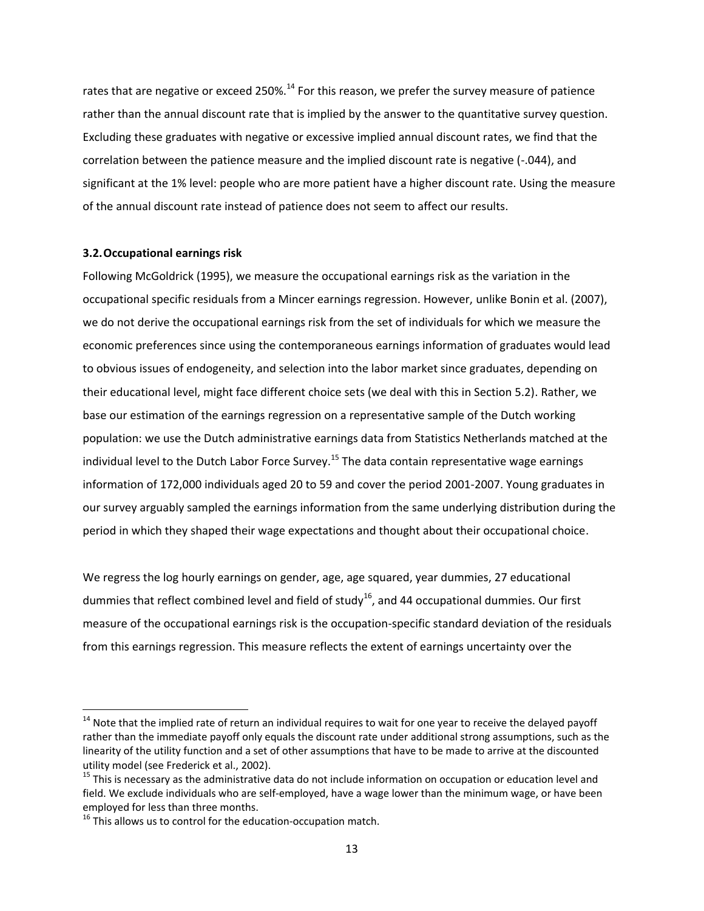rates that are negative or exceed 250%.<sup>14</sup> For this reason, we prefer the survey measure of patience rather than the annual discount rate that is implied by the answer to the quantitative survey question. Excluding these graduates with negative or excessive implied annual discount rates, we find that the correlation between the patience measure and the implied discount rate is negative (-.044), and significant at the 1% level: people who are more patient have a higher discount rate. Using the measure of the annual discount rate instead of patience does not seem to affect our results.

#### **3.2.Occupational earnings risk**

 $\overline{a}$ 

Following McGoldrick (1995), we measure the occupational earnings risk as the variation in the occupational specific residuals from a Mincer earnings regression. However, unlike Bonin et al. (2007), we do not derive the occupational earnings risk from the set of individuals for which we measure the economic preferences since using the contemporaneous earnings information of graduates would lead to obvious issues of endogeneity, and selection into the labor market since graduates, depending on their educational level, might face different choice sets (we deal with this in Section 5.2). Rather, we base our estimation of the earnings regression on a representative sample of the Dutch working population: we use the Dutch administrative earnings data from Statistics Netherlands matched at the individual level to the Dutch Labor Force Survey.<sup>15</sup> The data contain representative wage earnings information of 172,000 individuals aged 20 to 59 and cover the period 2001-2007. Young graduates in our survey arguably sampled the earnings information from the same underlying distribution during the period in which they shaped their wage expectations and thought about their occupational choice.

We regress the log hourly earnings on gender, age, age squared, year dummies, 27 educational dummies that reflect combined level and field of study<sup>16</sup>, and 44 occupational dummies. Our first measure of the occupational earnings risk is the occupation-specific standard deviation of the residuals from this earnings regression. This measure reflects the extent of earnings uncertainty over the

 $14$  Note that the implied rate of return an individual requires to wait for one year to receive the delayed payoff rather than the immediate payoff only equals the discount rate under additional strong assumptions, such as the linearity of the utility function and a set of other assumptions that have to be made to arrive at the discounted utility model (see Frederick et al., 2002).

<sup>&</sup>lt;sup>15</sup> This is necessary as the administrative data do not include information on occupation or education level and field. We exclude individuals who are self-employed, have a wage lower than the minimum wage, or have been employed for less than three months.

 $16$  This allows us to control for the education-occupation match.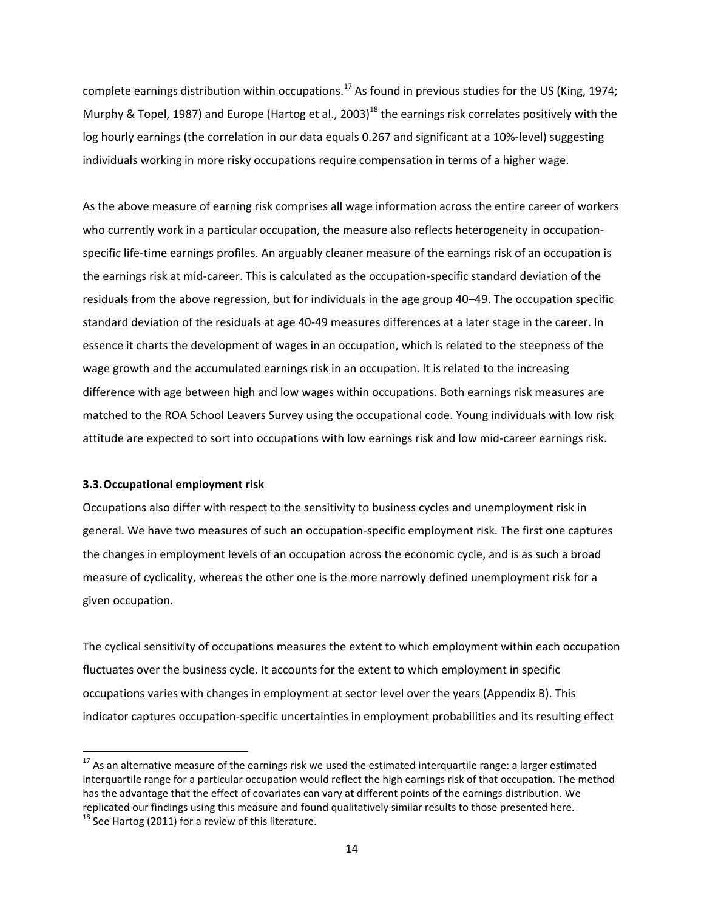complete earnings distribution within occupations.<sup>17</sup> As found in previous studies for the US (King, 1974; Murphy & Topel, 1987) and Europe (Hartog et al., 2003)<sup>18</sup> the earnings risk correlates positively with the log hourly earnings (the correlation in our data equals 0.267 and significant at a 10%-level) suggesting individuals working in more risky occupations require compensation in terms of a higher wage.

As the above measure of earning risk comprises all wage information across the entire career of workers who currently work in a particular occupation, the measure also reflects heterogeneity in occupationspecific life-time earnings profiles. An arguably cleaner measure of the earnings risk of an occupation is the earnings risk at mid-career. This is calculated as the occupation-specific standard deviation of the residuals from the above regression, but for individuals in the age group 40–49. The occupation specific standard deviation of the residuals at age 40-49 measures differences at a later stage in the career. In essence it charts the development of wages in an occupation, which is related to the steepness of the wage growth and the accumulated earnings risk in an occupation. It is related to the increasing difference with age between high and low wages within occupations. Both earnings risk measures are matched to the ROA School Leavers Survey using the occupational code. Young individuals with low risk attitude are expected to sort into occupations with low earnings risk and low mid-career earnings risk.

#### **3.3.Occupational employment risk**

 $\overline{\phantom{a}}$ 

Occupations also differ with respect to the sensitivity to business cycles and unemployment risk in general. We have two measures of such an occupation-specific employment risk. The first one captures the changes in employment levels of an occupation across the economic cycle, and is as such a broad measure of cyclicality, whereas the other one is the more narrowly defined unemployment risk for a given occupation.

The cyclical sensitivity of occupations measures the extent to which employment within each occupation fluctuates over the business cycle. It accounts for the extent to which employment in specific occupations varies with changes in employment at sector level over the years (Appendix B). This indicator captures occupation-specific uncertainties in employment probabilities and its resulting effect

 $17$  As an alternative measure of the earnings risk we used the estimated interquartile range: a larger estimated interquartile range for a particular occupation would reflect the high earnings risk of that occupation. The method has the advantage that the effect of covariates can vary at different points of the earnings distribution. We replicated our findings using this measure and found qualitatively similar results to those presented here.  $18$  See Hartog (2011) for a review of this literature.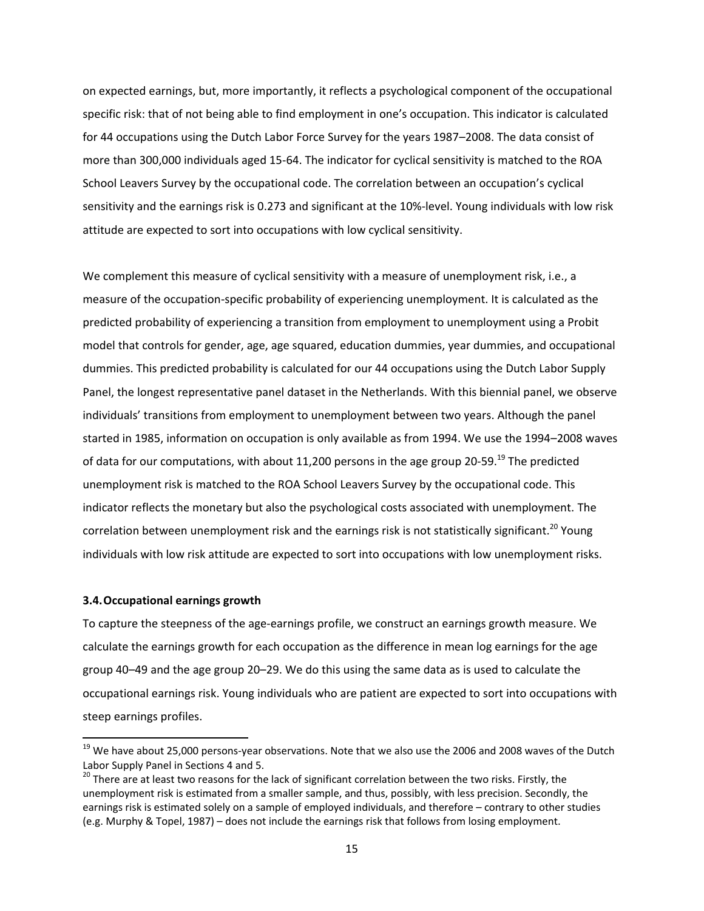on expected earnings, but, more importantly, it reflects a psychological component of the occupational specific risk: that of not being able to find employment in one's occupation. This indicator is calculated for 44 occupations using the Dutch Labor Force Survey for the years 1987–2008. The data consist of more than 300,000 individuals aged 15-64. The indicator for cyclical sensitivity is matched to the ROA School Leavers Survey by the occupational code. The correlation between an occupation's cyclical sensitivity and the earnings risk is 0.273 and significant at the 10%-level. Young individuals with low risk attitude are expected to sort into occupations with low cyclical sensitivity.

We complement this measure of cyclical sensitivity with a measure of unemployment risk, i.e., a measure of the occupation-specific probability of experiencing unemployment. It is calculated as the predicted probability of experiencing a transition from employment to unemployment using a Probit model that controls for gender, age, age squared, education dummies, year dummies, and occupational dummies. This predicted probability is calculated for our 44 occupations using the Dutch Labor Supply Panel, the longest representative panel dataset in the Netherlands. With this biennial panel, we observe individuals' transitions from employment to unemployment between two years. Although the panel started in 1985, information on occupation is only available as from 1994. We use the 1994–2008 waves of data for our computations, with about 11,200 persons in the age group 20-59.<sup>19</sup> The predicted unemployment risk is matched to the ROA School Leavers Survey by the occupational code. This indicator reflects the monetary but also the psychological costs associated with unemployment. The correlation between unemployment risk and the earnings risk is not statistically significant.<sup>20</sup> Young individuals with low risk attitude are expected to sort into occupations with low unemployment risks.

#### **3.4.Occupational earnings growth**

 $\overline{\phantom{a}}$ 

To capture the steepness of the age-earnings profile, we construct an earnings growth measure. We calculate the earnings growth for each occupation as the difference in mean log earnings for the age group 40–49 and the age group 20–29. We do this using the same data as is used to calculate the occupational earnings risk. Young individuals who are patient are expected to sort into occupations with steep earnings profiles.

<sup>&</sup>lt;sup>19</sup> We have about 25,000 persons-year observations. Note that we also use the 2006 and 2008 waves of the Dutch Labor Supply Panel in Sections 4 and 5.

<sup>&</sup>lt;sup>20</sup> There are at least two reasons for the lack of significant correlation between the two risks. Firstly, the unemployment risk is estimated from a smaller sample, and thus, possibly, with less precision. Secondly, the earnings risk is estimated solely on a sample of employed individuals, and therefore – contrary to other studies (e.g. Murphy & Topel, 1987) – does not include the earnings risk that follows from losing employment.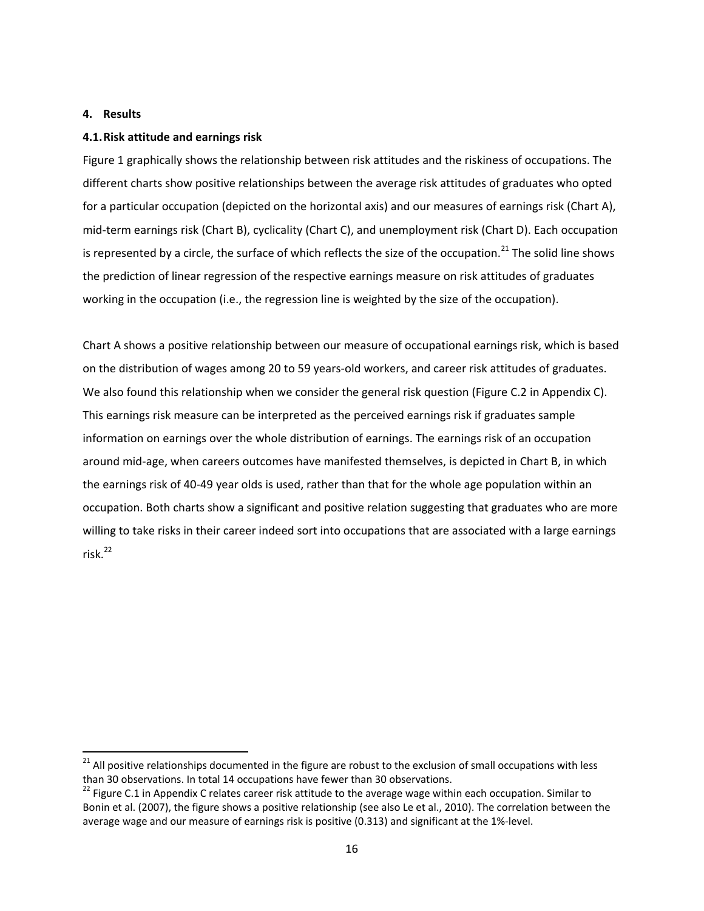#### **4. Results**

 $\overline{\phantom{a}}$ 

#### **4.1.Risk attitude and earnings risk**

Figure 1 graphically shows the relationship between risk attitudes and the riskiness of occupations. The different charts show positive relationships between the average risk attitudes of graduates who opted for a particular occupation (depicted on the horizontal axis) and our measures of earnings risk (Chart A), mid-term earnings risk (Chart B), cyclicality (Chart C), and unemployment risk (Chart D). Each occupation is represented by a circle, the surface of which reflects the size of the occupation.<sup>21</sup> The solid line shows the prediction of linear regression of the respective earnings measure on risk attitudes of graduates working in the occupation (i.e., the regression line is weighted by the size of the occupation).

Chart A shows a positive relationship between our measure of occupational earnings risk, which is based on the distribution of wages among 20 to 59 years-old workers, and career risk attitudes of graduates. We also found this relationship when we consider the general risk question (Figure C.2 in Appendix C). This earnings risk measure can be interpreted as the perceived earnings risk if graduates sample information on earnings over the whole distribution of earnings. The earnings risk of an occupation around mid-age, when careers outcomes have manifested themselves, is depicted in Chart B, in which the earnings risk of 40-49 year olds is used, rather than that for the whole age population within an occupation. Both charts show a significant and positive relation suggesting that graduates who are more willing to take risks in their career indeed sort into occupations that are associated with a large earnings risk.<sup>22</sup>

<sup>&</sup>lt;sup>21</sup> All positive relationships documented in the figure are robust to the exclusion of small occupations with less than 30 observations. In total 14 occupations have fewer than 30 observations.

 $22$  Figure C.1 in Appendix C relates career risk attitude to the average wage within each occupation. Similar to Bonin et al. (2007), the figure shows a positive relationship (see also Le et al., 2010). The correlation between the average wage and our measure of earnings risk is positive (0.313) and significant at the 1%-level.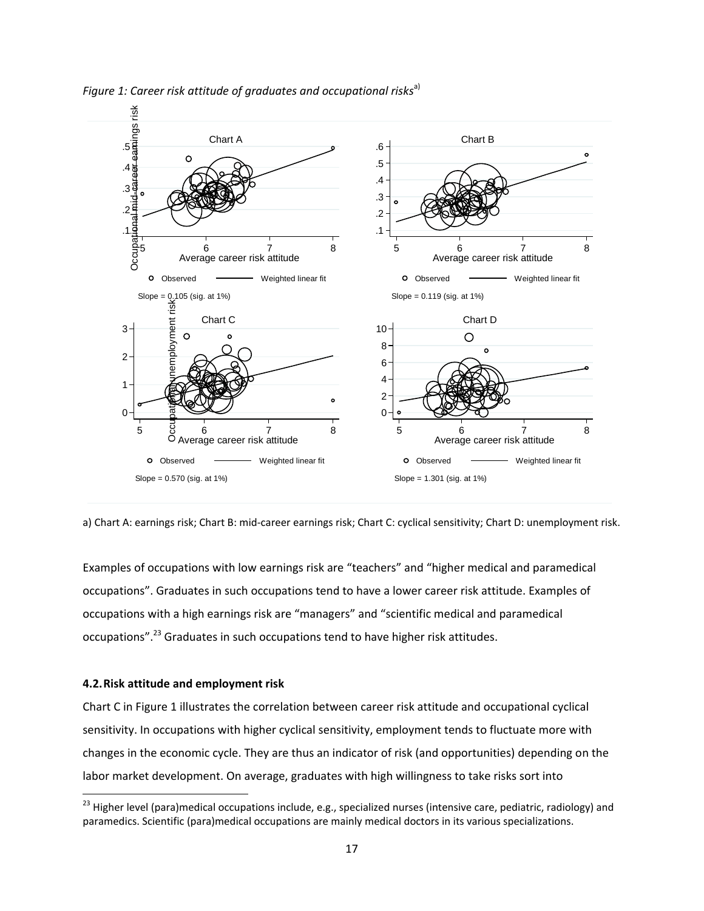Figure 1: Career risk attitude of graduates and occupational risks<sup>a)</sup>



a) Chart A: earnings risk; Chart B: mid-career earnings risk; Chart C: cyclical sensitivity; Chart D: unemployment risk.

Examples of occupations with low earnings risk are "teachers" and "higher medical and paramedical occupations". Graduates in such occupations tend to have a lower career risk attitude. Examples of occupations with a high earnings risk are "managers" and "scientific medical and paramedical occupations".<sup>23</sup> Graduates in such occupations tend to have higher risk attitudes.

#### **4.2.Risk attitude and employment risk**

 $\overline{\phantom{a}}$ 

Chart C in Figure 1 illustrates the correlation between career risk attitude and occupational cyclical sensitivity. In occupations with higher cyclical sensitivity, employment tends to fluctuate more with changes in the economic cycle. They are thus an indicator of risk (and opportunities) depending on the labor market development. On average, graduates with high willingness to take risks sort into

<sup>&</sup>lt;sup>23</sup> Higher level (para)medical occupations include, e.g., specialized nurses (intensive care, pediatric, radiology) and paramedics. Scientific (para)medical occupations are mainly medical doctors in its various specializations.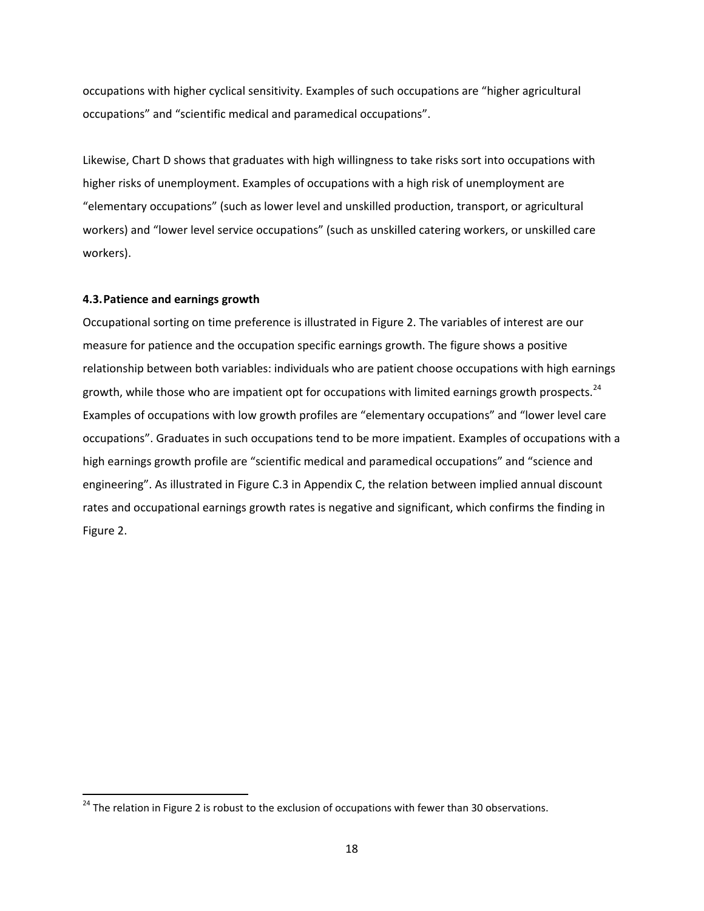occupations with higher cyclical sensitivity. Examples of such occupations are "higher agricultural occupations" and "scientific medical and paramedical occupations".

Likewise, Chart D shows that graduates with high willingness to take risks sort into occupations with higher risks of unemployment. Examples of occupations with a high risk of unemployment are "elementary occupations" (such as lower level and unskilled production, transport, or agricultural workers) and "lower level service occupations" (such as unskilled catering workers, or unskilled care workers).

#### **4.3.Patience and earnings growth**

 $\overline{\phantom{a}}$ 

Occupational sorting on time preference is illustrated in Figure 2. The variables of interest are our measure for patience and the occupation specific earnings growth. The figure shows a positive relationship between both variables: individuals who are patient choose occupations with high earnings growth, while those who are impatient opt for occupations with limited earnings growth prospects.<sup>24</sup> Examples of occupations with low growth profiles are "elementary occupations" and "lower level care occupations". Graduates in such occupations tend to be more impatient. Examples of occupations with a high earnings growth profile are "scientific medical and paramedical occupations" and "science and engineering". As illustrated in Figure C.3 in Appendix C, the relation between implied annual discount rates and occupational earnings growth rates is negative and significant, which confirms the finding in Figure 2.

 $^{24}$  The relation in Figure 2 is robust to the exclusion of occupations with fewer than 30 observations.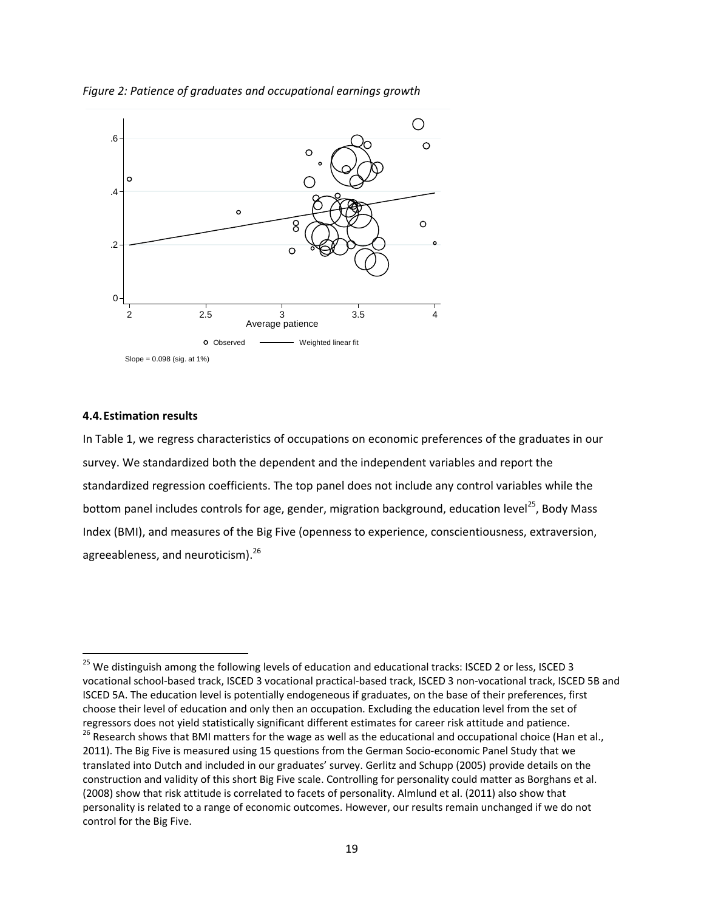

*Figure 2: Patience of graduates and occupational earnings growth*

#### **4.4.Estimation results**

 $\overline{\phantom{a}}$ 

In Table 1, we regress characteristics of occupations on economic preferences of the graduates in our survey. We standardized both the dependent and the independent variables and report the standardized regression coefficients. The top panel does not include any control variables while the bottom panel includes controls for age, gender, migration background, education level<sup>25</sup>, Body Mass Index (BMI), and measures of the Big Five (openness to experience, conscientiousness, extraversion, agreeableness, and neuroticism).<sup>26</sup>

<sup>&</sup>lt;sup>25</sup> We distinguish among the following levels of education and educational tracks: ISCED 2 or less, ISCED 3 vocational school-based track, ISCED 3 vocational practical-based track, ISCED 3 non-vocational track, ISCED 5B and ISCED 5A. The education level is potentially endogeneous if graduates, on the base of their preferences, first choose their level of education and only then an occupation. Excluding the education level from the set of regressors does not yield statistically significant different estimates for career risk attitude and patience. <sup>26</sup> Research shows that BMI matters for the wage as well as the educational and occupational choice (Han et al., 2011). The Big Five is measured using 15 questions from the German Socio-economic Panel Study that we translated into Dutch and included in our graduates' survey. Gerlitz and Schupp (2005) provide details on the construction and validity of this short Big Five scale. Controlling for personality could matter as Borghans et al. (2008) show that risk attitude is correlated to facets of personality. Almlund et al. (2011) also show that personality is related to a range of economic outcomes. However, our results remain unchanged if we do not control for the Big Five.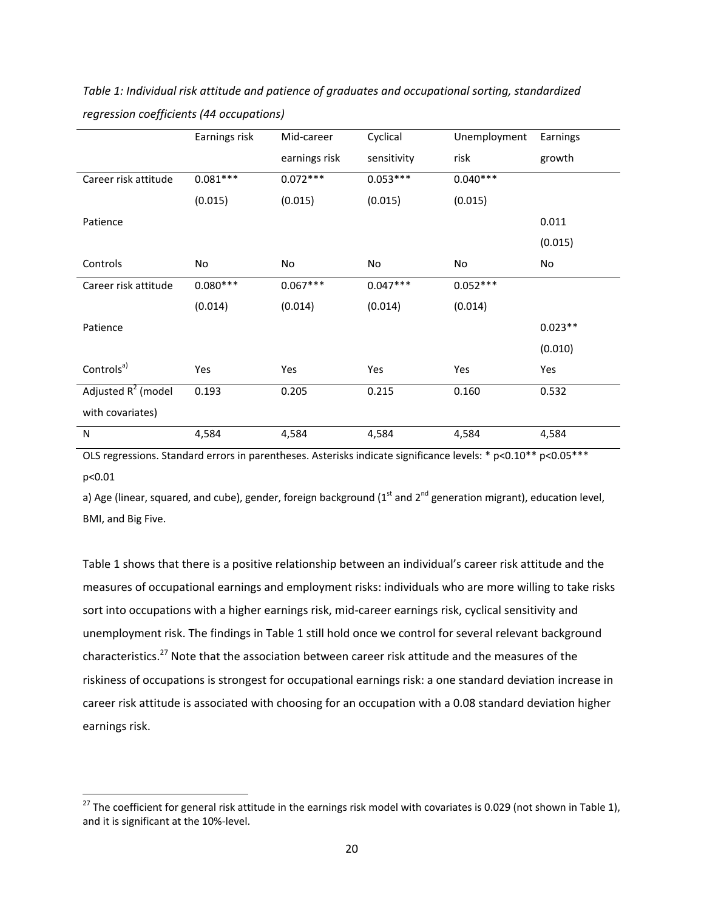|                        | Earnings risk | Mid-career    | Cyclical    | Unemployment | Earnings  |
|------------------------|---------------|---------------|-------------|--------------|-----------|
|                        |               | earnings risk | sensitivity | risk         | growth    |
| Career risk attitude   | $0.081***$    | $0.072***$    | $0.053***$  | $0.040***$   |           |
|                        | (0.015)       | (0.015)       | (0.015)     | (0.015)      |           |
| Patience               |               |               |             |              | 0.011     |
|                        |               |               |             |              | (0.015)   |
| Controls               | No            | No            | No          | No           | No        |
| Career risk attitude   | $0.080***$    | $0.067***$    | $0.047***$  | $0.052***$   |           |
|                        | (0.014)       | (0.014)       | (0.014)     | (0.014)      |           |
| Patience               |               |               |             |              | $0.023**$ |
|                        |               |               |             |              | (0.010)   |
| Controls <sup>a)</sup> | Yes           | Yes           | Yes         | Yes          | Yes       |
| Adjusted $R^2$ (model  | 0.193         | 0.205         | 0.215       | 0.160        | 0.532     |
| with covariates)       |               |               |             |              |           |
| N                      | 4,584         | 4,584         | 4,584       | 4,584        | 4,584     |

*Table 1: Individual risk attitude and patience of graduates and occupational sorting, standardized regression coefficients (44 occupations)*

OLS regressions. Standard errors in parentheses. Asterisks indicate significance levels: \* p<0.10\*\* p<0.05\*\*\* p<0.01

a) Age (linear, squared, and cube), gender, foreign background ( $1^{st}$  and  $2^{nd}$  generation migrant), education level, BMI, and Big Five.

Table 1 shows that there is a positive relationship between an individual's career risk attitude and the measures of occupational earnings and employment risks: individuals who are more willing to take risks sort into occupations with a higher earnings risk, mid-career earnings risk, cyclical sensitivity and unemployment risk. The findings in Table 1 still hold once we control for several relevant background characteristics.<sup>27</sup> Note that the association between career risk attitude and the measures of the riskiness of occupations is strongest for occupational earnings risk: a one standard deviation increase in career risk attitude is associated with choosing for an occupation with a 0.08 standard deviation higher earnings risk.

<sup>&</sup>lt;sup>27</sup> The coefficient for general risk attitude in the earnings risk model with covariates is 0.029 (not shown in Table 1), and it is significant at the 10%-level.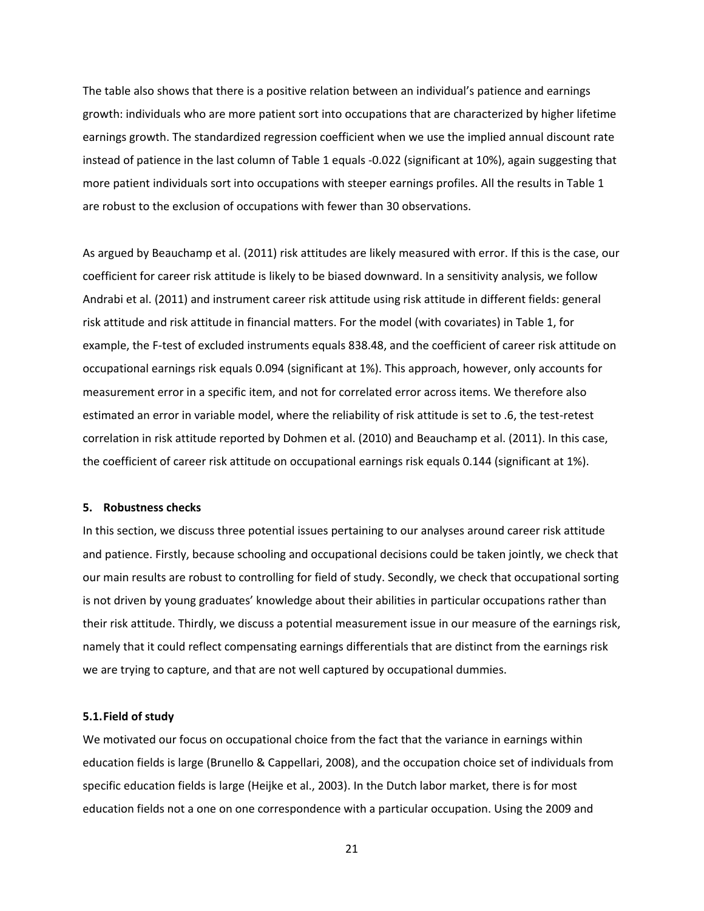The table also shows that there is a positive relation between an individual's patience and earnings growth: individuals who are more patient sort into occupations that are characterized by higher lifetime earnings growth. The standardized regression coefficient when we use the implied annual discount rate instead of patience in the last column of Table 1 equals -0.022 (significant at 10%), again suggesting that more patient individuals sort into occupations with steeper earnings profiles. All the results in Table 1 are robust to the exclusion of occupations with fewer than 30 observations.

As argued by Beauchamp et al. (2011) risk attitudes are likely measured with error. If this is the case, our coefficient for career risk attitude is likely to be biased downward. In a sensitivity analysis, we follow Andrabi et al. (2011) and instrument career risk attitude using risk attitude in different fields: general risk attitude and risk attitude in financial matters. For the model (with covariates) in Table 1, for example, the F-test of excluded instruments equals 838.48, and the coefficient of career risk attitude on occupational earnings risk equals 0.094 (significant at 1%). This approach, however, only accounts for measurement error in a specific item, and not for correlated error across items. We therefore also estimated an error in variable model, where the reliability of risk attitude is set to .6, the test-retest correlation in risk attitude reported by Dohmen et al. (2010) and Beauchamp et al. (2011). In this case, the coefficient of career risk attitude on occupational earnings risk equals 0.144 (significant at 1%).

#### **5. Robustness checks**

In this section, we discuss three potential issues pertaining to our analyses around career risk attitude and patience. Firstly, because schooling and occupational decisions could be taken jointly, we check that our main results are robust to controlling for field of study. Secondly, we check that occupational sorting is not driven by young graduates' knowledge about their abilities in particular occupations rather than their risk attitude. Thirdly, we discuss a potential measurement issue in our measure of the earnings risk, namely that it could reflect compensating earnings differentials that are distinct from the earnings risk we are trying to capture, and that are not well captured by occupational dummies.

#### **5.1.Field of study**

We motivated our focus on occupational choice from the fact that the variance in earnings within education fields is large (Brunello & Cappellari, 2008), and the occupation choice set of individuals from specific education fields is large (Heijke et al., 2003). In the Dutch labor market, there is for most education fields not a one on one correspondence with a particular occupation. Using the 2009 and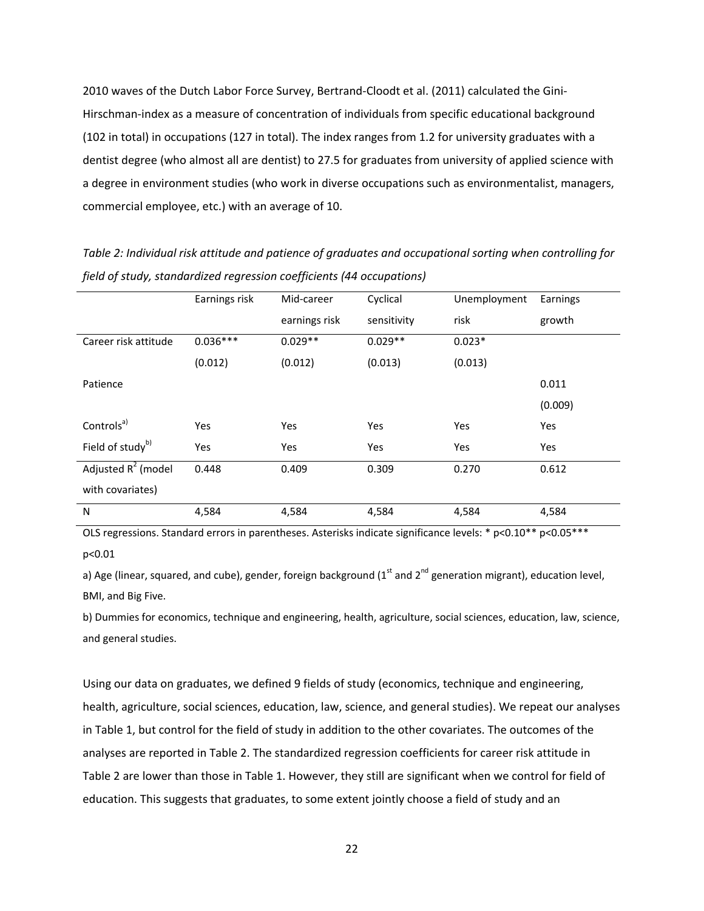2010 waves of the Dutch Labor Force Survey, Bertrand-Cloodt et al. (2011) calculated the Gini-Hirschman-index as a measure of concentration of individuals from specific educational background (102 in total) in occupations (127 in total). The index ranges from 1.2 for university graduates with a dentist degree (who almost all are dentist) to 27.5 for graduates from university of applied science with a degree in environment studies (who work in diverse occupations such as environmentalist, managers, commercial employee, etc.) with an average of 10.

|                              | Earnings risk | Mid-career    | Cyclical    | Unemployment | Earnings |
|------------------------------|---------------|---------------|-------------|--------------|----------|
|                              |               | earnings risk | sensitivity | risk         | growth   |
| Career risk attitude         | $0.036***$    | $0.029**$     | $0.029**$   | $0.023*$     |          |
|                              | (0.012)       | (0.012)       | (0.013)     | (0.013)      |          |
| Patience                     |               |               |             |              | 0.011    |
|                              |               |               |             |              | (0.009)  |
| Controls <sup>a)</sup>       | Yes           | Yes           | Yes         | Yes          | Yes      |
| Field of study <sup>b)</sup> | Yes           | Yes           | Yes         | Yes          | Yes      |
| Adjusted $R^2$ (model        | 0.448         | 0.409         | 0.309       | 0.270        | 0.612    |
| with covariates)             |               |               |             |              |          |
| N                            | 4,584         | 4,584         | 4,584       | 4,584        | 4,584    |

*Table 2: Individual risk attitude and patience of graduates and occupational sorting when controlling for field of study, standardized regression coefficients (44 occupations)*

OLS regressions. Standard errors in parentheses. Asterisks indicate significance levels: \* p<0.10\*\* p<0.05\*\*\* p<0.01

a) Age (linear, squared, and cube), gender, foreign background ( $1^{st}$  and  $2^{nd}$  generation migrant), education level, BMI, and Big Five.

b) Dummies for economics, technique and engineering, health, agriculture, social sciences, education, law, science, and general studies.

Using our data on graduates, we defined 9 fields of study (economics, technique and engineering, health, agriculture, social sciences, education, law, science, and general studies). We repeat our analyses in Table 1, but control for the field of study in addition to the other covariates. The outcomes of the analyses are reported in Table 2. The standardized regression coefficients for career risk attitude in Table 2 are lower than those in Table 1. However, they still are significant when we control for field of education. This suggests that graduates, to some extent jointly choose a field of study and an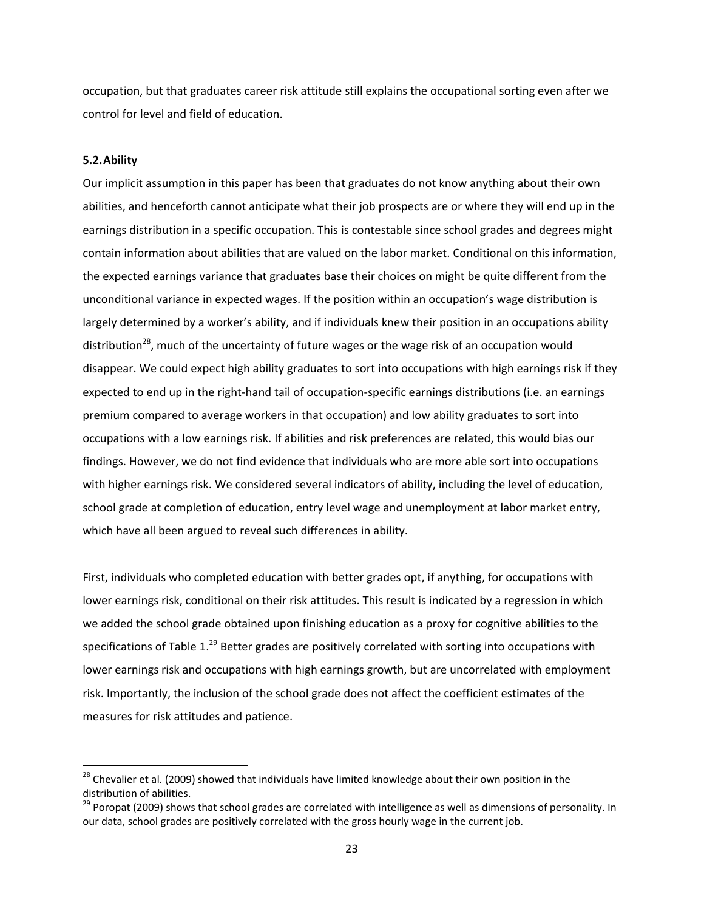occupation, but that graduates career risk attitude still explains the occupational sorting even after we control for level and field of education.

#### **5.2.Ability**

l

Our implicit assumption in this paper has been that graduates do not know anything about their own abilities, and henceforth cannot anticipate what their job prospects are or where they will end up in the earnings distribution in a specific occupation. This is contestable since school grades and degrees might contain information about abilities that are valued on the labor market. Conditional on this information, the expected earnings variance that graduates base their choices on might be quite different from the unconditional variance in expected wages. If the position within an occupation's wage distribution is largely determined by a worker's ability, and if individuals knew their position in an occupations ability distribution<sup>28</sup>, much of the uncertainty of future wages or the wage risk of an occupation would disappear. We could expect high ability graduates to sort into occupations with high earnings risk if they expected to end up in the right-hand tail of occupation-specific earnings distributions (i.e. an earnings premium compared to average workers in that occupation) and low ability graduates to sort into occupations with a low earnings risk. If abilities and risk preferences are related, this would bias our findings. However, we do not find evidence that individuals who are more able sort into occupations with higher earnings risk. We considered several indicators of ability, including the level of education, school grade at completion of education, entry level wage and unemployment at labor market entry, which have all been argued to reveal such differences in ability.

First, individuals who completed education with better grades opt, if anything, for occupations with lower earnings risk, conditional on their risk attitudes. This result is indicated by a regression in which we added the school grade obtained upon finishing education as a proxy for cognitive abilities to the specifications of Table 1.<sup>29</sup> Better grades are positively correlated with sorting into occupations with lower earnings risk and occupations with high earnings growth, but are uncorrelated with employment risk. Importantly, the inclusion of the school grade does not affect the coefficient estimates of the measures for risk attitudes and patience.

 $^{28}$  Chevalier et al. (2009) showed that individuals have limited knowledge about their own position in the distribution of abilities.

 $29$  Poropat (2009) shows that school grades are correlated with intelligence as well as dimensions of personality. In our data, school grades are positively correlated with the gross hourly wage in the current job.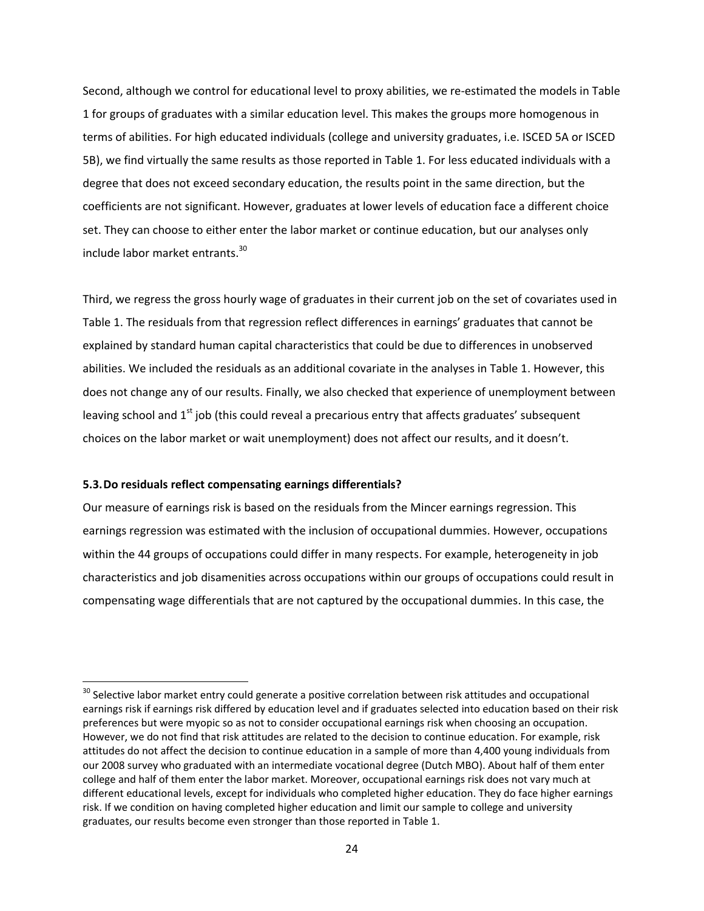Second, although we control for educational level to proxy abilities, we re-estimated the models in Table 1 for groups of graduates with a similar education level. This makes the groups more homogenous in terms of abilities. For high educated individuals (college and university graduates, i.e. ISCED 5A or ISCED 5B), we find virtually the same results as those reported in Table 1. For less educated individuals with a degree that does not exceed secondary education, the results point in the same direction, but the coefficients are not significant. However, graduates at lower levels of education face a different choice set. They can choose to either enter the labor market or continue education, but our analyses only include labor market entrants. 30

Third, we regress the gross hourly wage of graduates in their current job on the set of covariates used in Table 1. The residuals from that regression reflect differences in earnings' graduates that cannot be explained by standard human capital characteristics that could be due to differences in unobserved abilities. We included the residuals as an additional covariate in the analyses in Table 1. However, this does not change any of our results. Finally, we also checked that experience of unemployment between leaving school and  $1<sup>st</sup>$  job (this could reveal a precarious entry that affects graduates' subsequent choices on the labor market or wait unemployment) does not affect our results, and it doesn't.

#### **5.3.Do residuals reflect compensating earnings differentials?**

 $\overline{a}$ 

Our measure of earnings risk is based on the residuals from the Mincer earnings regression. This earnings regression was estimated with the inclusion of occupational dummies. However, occupations within the 44 groups of occupations could differ in many respects. For example, heterogeneity in job characteristics and job disamenities across occupations within our groups of occupations could result in compensating wage differentials that are not captured by the occupational dummies. In this case, the

<sup>&</sup>lt;sup>30</sup> Selective labor market entry could generate a positive correlation between risk attitudes and occupational earnings risk if earnings risk differed by education level and if graduates selected into education based on their risk preferences but were myopic so as not to consider occupational earnings risk when choosing an occupation. However, we do not find that risk attitudes are related to the decision to continue education. For example, risk attitudes do not affect the decision to continue education in a sample of more than 4,400 young individuals from our 2008 survey who graduated with an intermediate vocational degree (Dutch MBO). About half of them enter college and half of them enter the labor market. Moreover, occupational earnings risk does not vary much at different educational levels, except for individuals who completed higher education. They do face higher earnings risk. If we condition on having completed higher education and limit our sample to college and university graduates, our results become even stronger than those reported in Table 1.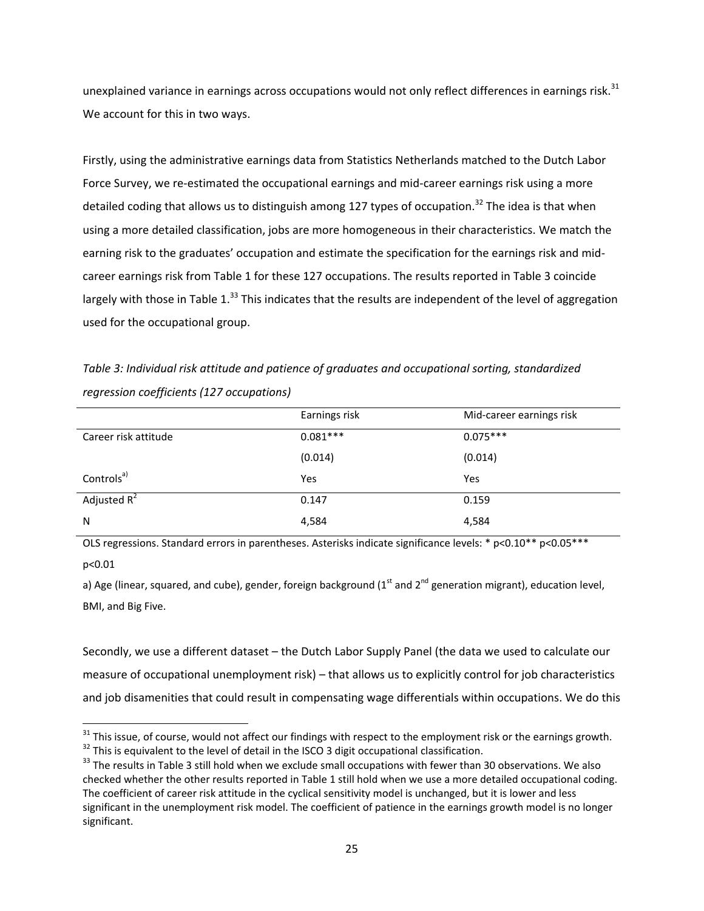unexplained variance in earnings across occupations would not only reflect differences in earnings risk.<sup>31</sup> We account for this in two ways.

Firstly, using the administrative earnings data from Statistics Netherlands matched to the Dutch Labor Force Survey, we re-estimated the occupational earnings and mid-career earnings risk using a more detailed coding that allows us to distinguish among 127 types of occupation.<sup>32</sup> The idea is that when using a more detailed classification, jobs are more homogeneous in their characteristics. We match the earning risk to the graduates' occupation and estimate the specification for the earnings risk and midcareer earnings risk from Table 1 for these 127 occupations. The results reported in Table 3 coincide largely with those in Table  $1<sup>33</sup>$  This indicates that the results are independent of the level of aggregation used for the occupational group.

*Table 3: Individual risk attitude and patience of graduates and occupational sorting, standardized regression coefficients (127 occupations)*

|                         | Earnings risk | Mid-career earnings risk |
|-------------------------|---------------|--------------------------|
| Career risk attitude    | $0.081***$    | $0.075***$               |
|                         | (0.014)       | (0.014)                  |
| Controls <sup>a)</sup>  | Yes           | Yes                      |
| Adjusted R <sup>2</sup> | 0.147         | 0.159                    |
| N                       | 4,584         | 4,584                    |

OLS regressions. Standard errors in parentheses. Asterisks indicate significance levels: \* p<0.10\*\* p<0.05\*\*\* p<0.01

a) Age (linear, squared, and cube), gender, foreign background ( $1<sup>st</sup>$  and  $2<sup>nd</sup>$  generation migrant), education level, BMI, and Big Five.

Secondly, we use a different dataset – the Dutch Labor Supply Panel (the data we used to calculate our measure of occupational unemployment risk) – that allows us to explicitly control for job characteristics and job disamenities that could result in compensating wage differentials within occupations. We do this

 $31$  This issue, of course, would not affect our findings with respect to the employment risk or the earnings growth.  $32$  This is equivalent to the level of detail in the ISCO 3 digit occupational classification.

<sup>&</sup>lt;sup>33</sup> The results in Table 3 still hold when we exclude small occupations with fewer than 30 observations. We also checked whether the other results reported in Table 1 still hold when we use a more detailed occupational coding. The coefficient of career risk attitude in the cyclical sensitivity model is unchanged, but it is lower and less significant in the unemployment risk model. The coefficient of patience in the earnings growth model is no longer significant.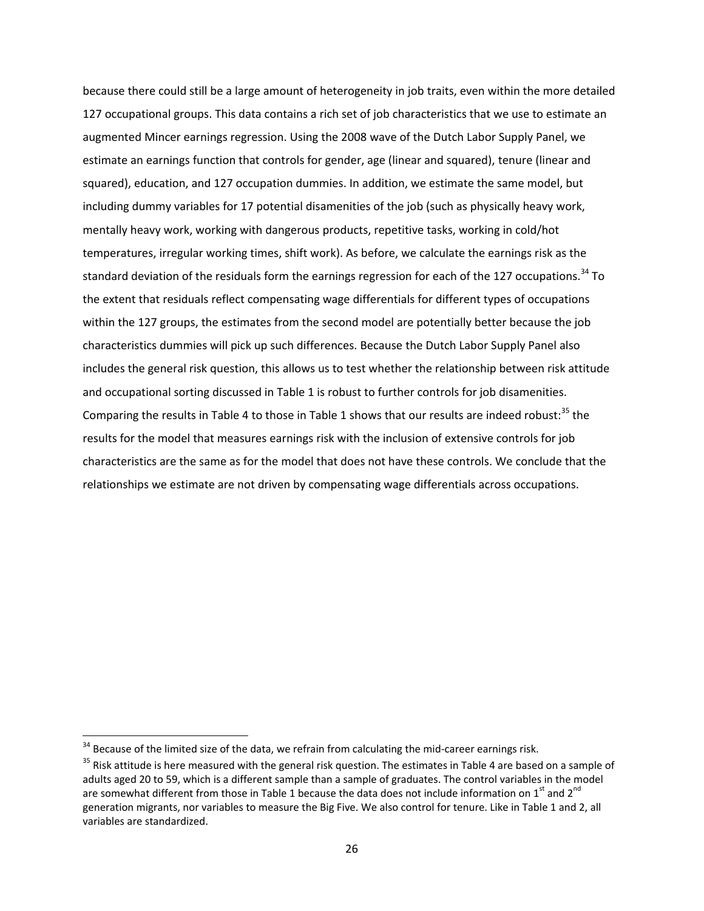because there could still be a large amount of heterogeneity in job traits, even within the more detailed 127 occupational groups. This data contains a rich set of job characteristics that we use to estimate an augmented Mincer earnings regression. Using the 2008 wave of the Dutch Labor Supply Panel, we estimate an earnings function that controls for gender, age (linear and squared), tenure (linear and squared), education, and 127 occupation dummies. In addition, we estimate the same model, but including dummy variables for 17 potential disamenities of the job (such as physically heavy work, mentally heavy work, working with dangerous products, repetitive tasks, working in cold/hot temperatures, irregular working times, shift work). As before, we calculate the earnings risk as the standard deviation of the residuals form the earnings regression for each of the 127 occupations.<sup>34</sup> To the extent that residuals reflect compensating wage differentials for different types of occupations within the 127 groups, the estimates from the second model are potentially better because the job characteristics dummies will pick up such differences. Because the Dutch Labor Supply Panel also includes the general risk question, this allows us to test whether the relationship between risk attitude and occupational sorting discussed in Table 1 is robust to further controls for job disamenities. Comparing the results in Table 4 to those in Table 1 shows that our results are indeed robust:<sup>35</sup> the results for the model that measures earnings risk with the inclusion of extensive controls for job characteristics are the same as for the model that does not have these controls. We conclude that the relationships we estimate are not driven by compensating wage differentials across occupations.

<sup>&</sup>lt;sup>34</sup> Because of the limited size of the data, we refrain from calculating the mid-career earnings risk.

 $35$  Risk attitude is here measured with the general risk question. The estimates in Table 4 are based on a sample of adults aged 20 to 59, which is a different sample than a sample of graduates. The control variables in the model are somewhat different from those in Table 1 because the data does not include information on 1<sup>st</sup> and 2<sup>nd</sup> generation migrants, nor variables to measure the Big Five. We also control for tenure. Like in Table 1 and 2, all variables are standardized.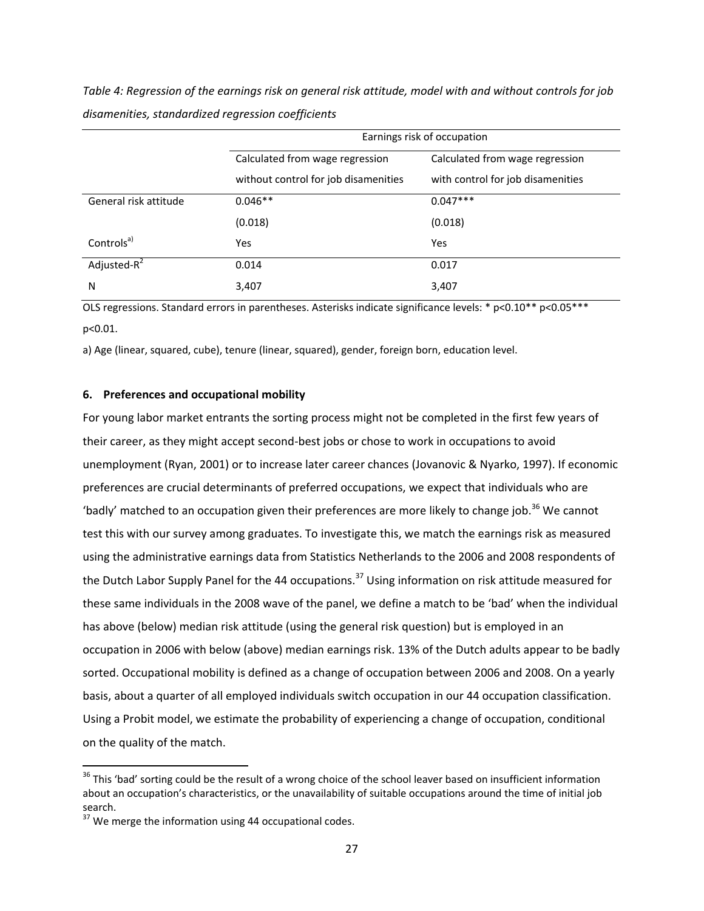*Table 4: Regression of the earnings risk on general risk attitude, model with and without controls for job disamenities, standardized regression coefficients*

|                        | Earnings risk of occupation          |                                   |  |  |
|------------------------|--------------------------------------|-----------------------------------|--|--|
|                        | Calculated from wage regression      | Calculated from wage regression   |  |  |
|                        | without control for job disamenities | with control for job disamenities |  |  |
| General risk attitude  | $0.046**$                            | $0.047***$                        |  |  |
|                        | (0.018)                              | (0.018)                           |  |  |
| Controls <sup>a)</sup> | Yes                                  | Yes                               |  |  |
| Adjusted- $R^2$        | 0.014                                | 0.017                             |  |  |
| N                      | 3,407                                | 3,407                             |  |  |

OLS regressions. Standard errors in parentheses. Asterisks indicate significance levels: \* p<0.10\*\* p<0.05\*\*\* p<0.01.

a) Age (linear, squared, cube), tenure (linear, squared), gender, foreign born, education level.

#### **6. Preferences and occupational mobility**

For young labor market entrants the sorting process might not be completed in the first few years of their career, as they might accept second-best jobs or chose to work in occupations to avoid unemployment (Ryan, 2001) or to increase later career chances (Jovanovic & Nyarko, 1997). If economic preferences are crucial determinants of preferred occupations, we expect that individuals who are 'badly' matched to an occupation given their preferences are more likely to change job.<sup>36</sup> We cannot test this with our survey among graduates. To investigate this, we match the earnings risk as measured using the administrative earnings data from Statistics Netherlands to the 2006 and 2008 respondents of the Dutch Labor Supply Panel for the 44 occupations.<sup>37</sup> Using information on risk attitude measured for these same individuals in the 2008 wave of the panel, we define a match to be 'bad' when the individual has above (below) median risk attitude (using the general risk question) but is employed in an occupation in 2006 with below (above) median earnings risk. 13% of the Dutch adults appear to be badly sorted. Occupational mobility is defined as a change of occupation between 2006 and 2008. On a yearly basis, about a quarter of all employed individuals switch occupation in our 44 occupation classification. Using a Probit model, we estimate the probability of experiencing a change of occupation, conditional on the quality of the match.

l

 $36$  This 'bad' sorting could be the result of a wrong choice of the school leaver based on insufficient information about an occupation's characteristics, or the unavailability of suitable occupations around the time of initial job search.

 $37$  We merge the information using 44 occupational codes.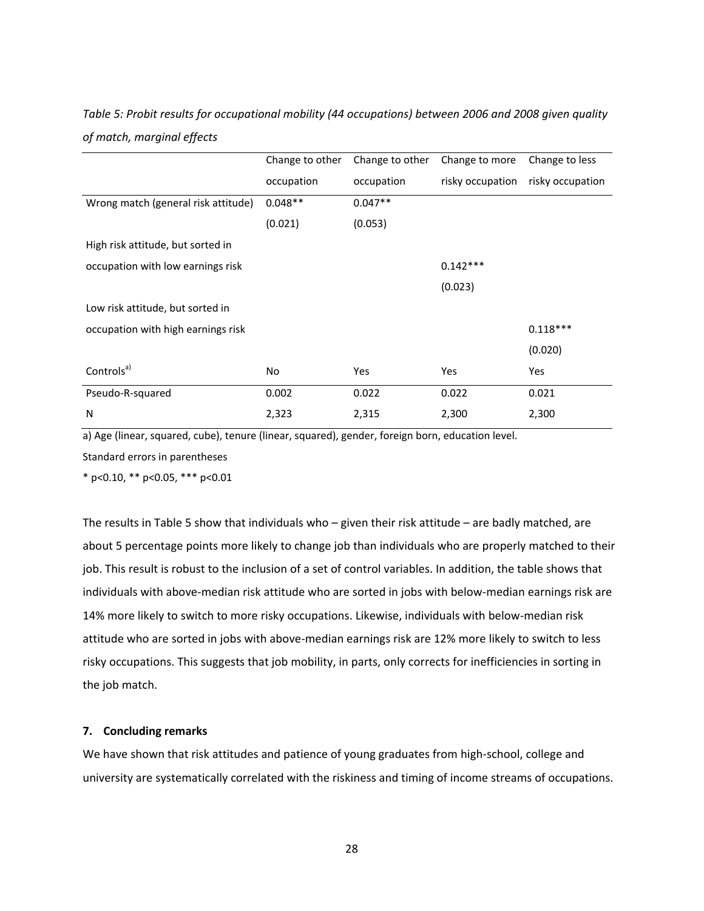| Table 5: Probit results for occupational mobility (44 occupations) between 2006 and 2008 given quality |
|--------------------------------------------------------------------------------------------------------|
| of match, marginal effects                                                                             |

|                                     | Change to other<br>Change to other |            | Change to more   | Change to less   |  |
|-------------------------------------|------------------------------------|------------|------------------|------------------|--|
|                                     | occupation                         | occupation | risky occupation | risky occupation |  |
| Wrong match (general risk attitude) | $0.048**$                          | $0.047**$  |                  |                  |  |
|                                     | (0.021)                            | (0.053)    |                  |                  |  |
| High risk attitude, but sorted in   |                                    |            |                  |                  |  |
| occupation with low earnings risk   |                                    |            | $0.142***$       |                  |  |
|                                     |                                    |            | (0.023)          |                  |  |
| Low risk attitude, but sorted in    |                                    |            |                  |                  |  |
| occupation with high earnings risk  |                                    |            |                  | $0.118***$       |  |
|                                     |                                    |            |                  | (0.020)          |  |
| Controls <sup>a)</sup>              | No                                 | Yes        | Yes              | Yes              |  |
| Pseudo-R-squared                    | 0.002                              | 0.022      | 0.022            | 0.021            |  |
| N                                   | 2,323                              | 2,315      | 2,300            | 2,300            |  |

a) Age (linear, squared, cube), tenure (linear, squared), gender, foreign born, education level.

Standard errors in parentheses

\* p<0.10, \*\* p<0.05, \*\*\* p<0.01

The results in Table 5 show that individuals who – given their risk attitude – are badly matched, are about 5 percentage points more likely to change job than individuals who are properly matched to their job. This result is robust to the inclusion of a set of control variables. In addition, the table shows that individuals with above-median risk attitude who are sorted in jobs with below-median earnings risk are 14% more likely to switch to more risky occupations. Likewise, individuals with below-median risk attitude who are sorted in jobs with above-median earnings risk are 12% more likely to switch to less risky occupations. This suggests that job mobility, in parts, only corrects for inefficiencies in sorting in the job match.

#### **7. Concluding remarks**

We have shown that risk attitudes and patience of young graduates from high-school, college and university are systematically correlated with the riskiness and timing of income streams of occupations.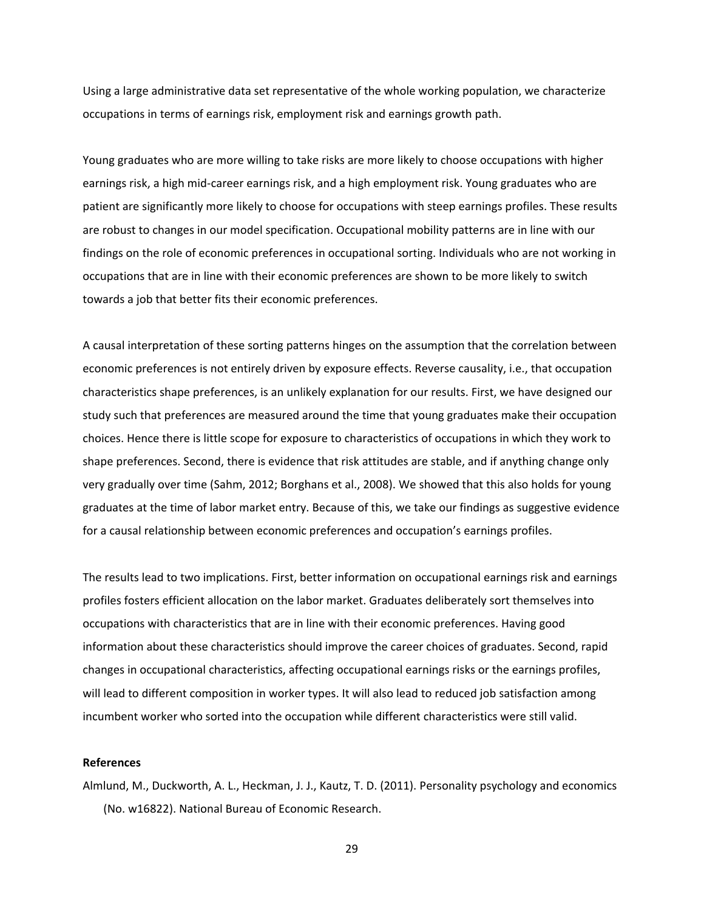Using a large administrative data set representative of the whole working population, we characterize occupations in terms of earnings risk, employment risk and earnings growth path.

Young graduates who are more willing to take risks are more likely to choose occupations with higher earnings risk, a high mid-career earnings risk, and a high employment risk. Young graduates who are patient are significantly more likely to choose for occupations with steep earnings profiles. These results are robust to changes in our model specification. Occupational mobility patterns are in line with our findings on the role of economic preferences in occupational sorting. Individuals who are not working in occupations that are in line with their economic preferences are shown to be more likely to switch towards a job that better fits their economic preferences.

A causal interpretation of these sorting patterns hinges on the assumption that the correlation between economic preferences is not entirely driven by exposure effects. Reverse causality, i.e., that occupation characteristics shape preferences, is an unlikely explanation for our results. First, we have designed our study such that preferences are measured around the time that young graduates make their occupation choices. Hence there is little scope for exposure to characteristics of occupations in which they work to shape preferences. Second, there is evidence that risk attitudes are stable, and if anything change only very gradually over time (Sahm, 2012; Borghans et al., 2008). We showed that this also holds for young graduates at the time of labor market entry. Because of this, we take our findings as suggestive evidence for a causal relationship between economic preferences and occupation's earnings profiles.

The results lead to two implications. First, better information on occupational earnings risk and earnings profiles fosters efficient allocation on the labor market. Graduates deliberately sort themselves into occupations with characteristics that are in line with their economic preferences. Having good information about these characteristics should improve the career choices of graduates. Second, rapid changes in occupational characteristics, affecting occupational earnings risks or the earnings profiles, will lead to different composition in worker types. It will also lead to reduced job satisfaction among incumbent worker who sorted into the occupation while different characteristics were still valid.

#### **References**

Almlund, M., Duckworth, A. L., Heckman, J. J., Kautz, T. D. (2011). Personality psychology and economics (No. w16822). National Bureau of Economic Research.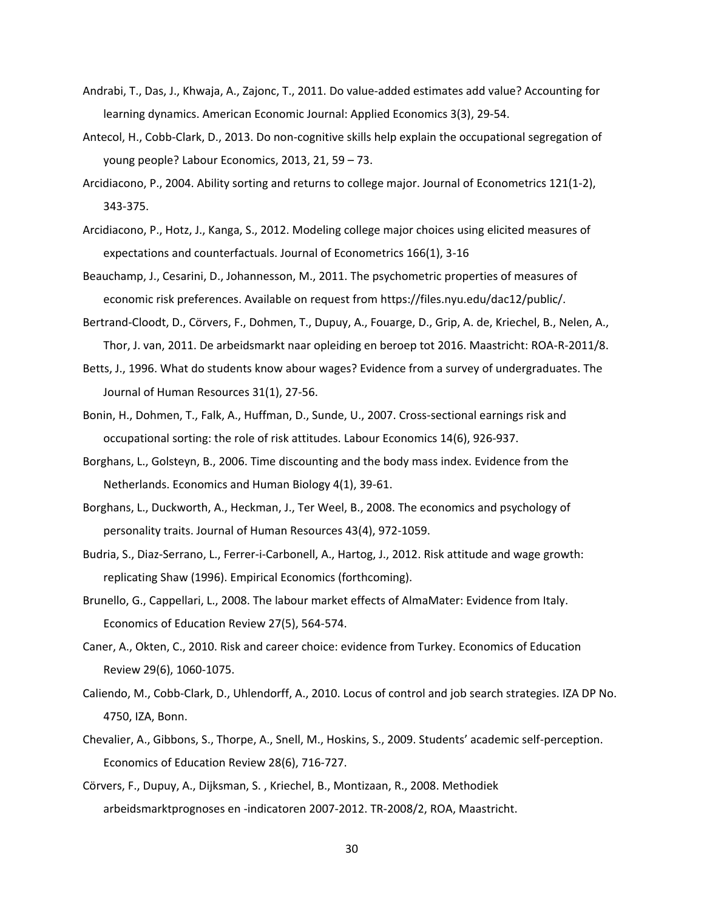- Andrabi, T., Das, J., Khwaja, A., Zajonc, T., 2011. Do value-added estimates add value? Accounting for learning dynamics. American Economic Journal: Applied Economics 3(3), 29-54.
- Antecol, H., Cobb-Clark, D., 2013. Do non-cognitive skills help explain the occupational segregation of young people? Labour Economics, 2013, 21, 59 – 73.
- Arcidiacono, P., 2004. Ability sorting and returns to college major. Journal of Econometrics 121(1-2), 343-375.
- Arcidiacono, P., Hotz, J., Kanga, S., 2012. Modeling college major choices using elicited measures of expectations and counterfactuals. Journal of Econometrics 166(1), 3-16
- Beauchamp, J., Cesarini, D., Johannesson, M., 2011. The psychometric properties of measures of economic risk preferences. Available on request from https://files.nyu.edu/dac12/public/.
- Bertrand-Cloodt, D., Cörvers, F., Dohmen, T., Dupuy, A., Fouarge, D., Grip, A. de, Kriechel, B., Nelen, A., Thor, J. van, 2011. De arbeidsmarkt naar opleiding en beroep tot 2016. Maastricht: ROA-R-2011/8.
- Betts, J., 1996. What do students know abour wages? Evidence from a survey of undergraduates. The Journal of Human Resources 31(1), 27-56.
- Bonin, H., Dohmen, T., Falk, A., Huffman, D., Sunde, U., 2007. Cross-sectional earnings risk and occupational sorting: the role of risk attitudes. Labour Economics 14(6), 926-937.
- Borghans, L., Golsteyn, B., 2006. Time discounting and the body mass index. Evidence from the Netherlands. Economics and Human Biology 4(1), 39-61.
- Borghans, L., Duckworth, A., Heckman, J., Ter Weel, B., 2008. The economics and psychology of personality traits. Journal of Human Resources 43(4), 972-1059.
- Budria, S., Diaz-Serrano, L., Ferrer-i-Carbonell, A., Hartog, J., 2012. Risk attitude and wage growth: replicating Shaw (1996). Empirical Economics (forthcoming).
- Brunello, G., Cappellari, L., 2008. The labour market effects of AlmaMater: Evidence from Italy. Economics of Education Review 27(5), 564-574.
- Caner, A., Okten, C., 2010. Risk and career choice: evidence from Turkey. Economics of Education Review 29(6), 1060-1075.
- Caliendo, M., Cobb-Clark, D., Uhlendorff, A., 2010. Locus of control and job search strategies. IZA DP No. 4750, IZA, Bonn.
- Chevalier, A., Gibbons, S., Thorpe, A., Snell, M., Hoskins, S., 2009. Students' academic self-perception. Economics of Education Review 28(6), 716-727.
- Cörvers, F., Dupuy, A., Dijksman, S. , Kriechel, B., Montizaan, R., 2008. Methodiek arbeidsmarktprognoses en -indicatoren 2007-2012. TR-2008/2, ROA, Maastricht.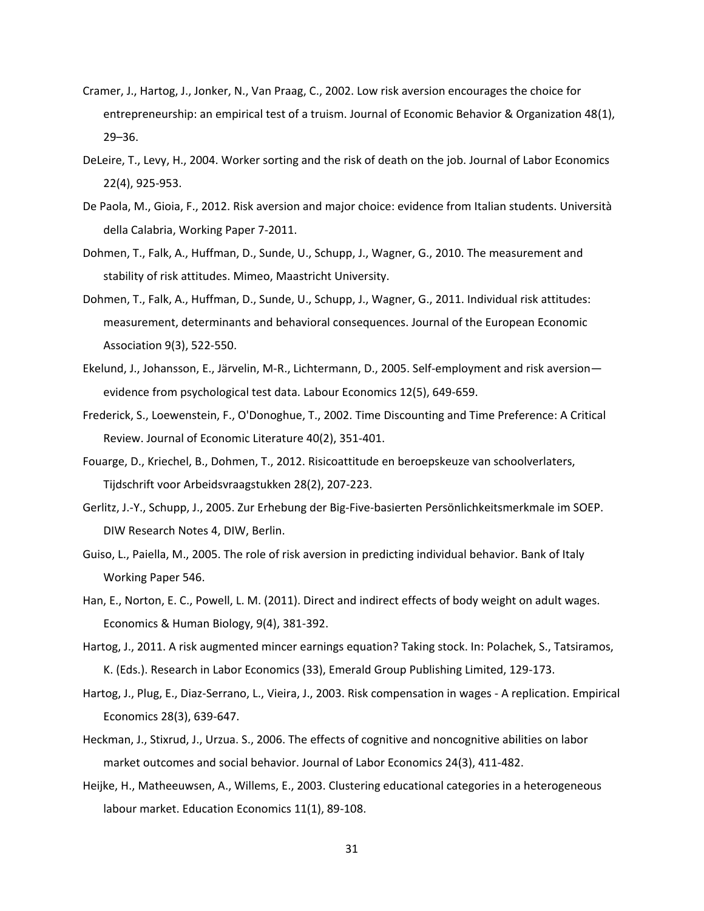- Cramer, J., Hartog, J., Jonker, N., Van Praag, C., 2002. Low risk aversion encourages the choice for entrepreneurship: an empirical test of a truism. Journal of Economic Behavior & Organization 48(1), 29–36.
- DeLeire, T., Levy, H., 2004. Worker sorting and the risk of death on the job. Journal of Labor Economics 22(4), 925-953.
- De Paola, M., Gioia, F., 2012. Risk aversion and major choice: evidence from Italian students. Università della Calabria, Working Paper 7-2011.
- Dohmen, T., Falk, A., Huffman, D., Sunde, U., Schupp, J., Wagner, G., 2010. The measurement and stability of risk attitudes. Mimeo, Maastricht University.
- Dohmen, T., Falk, A., Huffman, D., Sunde, U., Schupp, J., Wagner, G., 2011. Individual risk attitudes: measurement, determinants and behavioral consequences. Journal of the European Economic Association 9(3), 522-550.
- Ekelund, J., Johansson, E., Järvelin, M-R., Lichtermann, D., 2005. Self-employment and risk aversion evidence from psychological test data. Labour Economics 12(5), 649-659.
- Frederick, S., Loewenstein, F., O'Donoghue, T., 2002. Time Discounting and Time Preference: A Critical Review. Journal of Economic Literature 40(2), 351-401.
- Fouarge, D., Kriechel, B., Dohmen, T., 2012. Risicoattitude en beroepskeuze van schoolverlaters, Tijdschrift voor Arbeidsvraagstukken 28(2), 207-223.
- Gerlitz, J.-Y., Schupp, J., 2005. Zur Erhebung der Big-Five-basierten Persönlichkeitsmerkmale im SOEP. DIW Research Notes 4, DIW, Berlin.
- Guiso, L., Paiella, M., 2005. The role of risk aversion in predicting individual behavior. Bank of Italy Working Paper 546.
- Han, E., Norton, E. C., Powell, L. M. (2011). Direct and indirect effects of body weight on adult wages. Economics & Human Biology, 9(4), 381-392.
- Hartog, J., 2011. A risk augmented mincer earnings equation? Taking stock. In: Polachek, S., Tatsiramos, K. (Eds.). Research in Labor Economics (33), Emerald Group Publishing Limited, 129-173.
- Hartog, J., Plug, E., Diaz-Serrano, L., Vieira, J., 2003. Risk compensation in wages A replication. Empirical Economics 28(3), 639-647.
- Heckman, J., Stixrud, J., Urzua. S., 2006. The effects of cognitive and noncognitive abilities on labor market outcomes and social behavior. Journal of Labor Economics 24(3), 411-482.
- Heijke, H., Matheeuwsen, A., Willems, E., 2003. Clustering educational categories in a heterogeneous labour market. Education Economics 11(1), 89-108.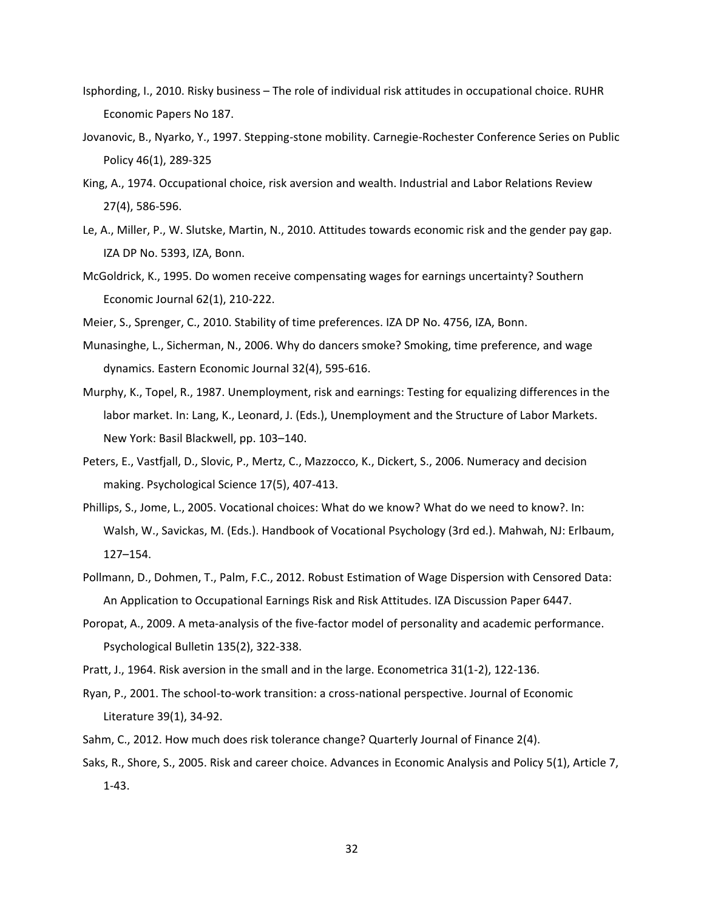- Isphording, I., 2010. Risky business The role of individual risk attitudes in occupational choice. RUHR Economic Papers No 187.
- Jovanovic, B., Nyarko, Y., 1997. Stepping-stone mobility. Carnegie-Rochester Conference Series on Public Policy 46(1), 289-325
- King, A., 1974. Occupational choice, risk aversion and wealth. Industrial and Labor Relations Review 27(4), 586-596.
- Le, A., Miller, P., W. Slutske, Martin, N., 2010. Attitudes towards economic risk and the gender pay gap. IZA DP No. 5393, IZA, Bonn.
- McGoldrick, K., 1995. Do women receive compensating wages for earnings uncertainty? Southern Economic Journal 62(1), 210-222.
- Meier, S., Sprenger, C., 2010. Stability of time preferences. IZA DP No. 4756, IZA, Bonn.
- Munasinghe, L., Sicherman, N., 2006. Why do dancers smoke? Smoking, time preference, and wage dynamics. Eastern Economic Journal 32(4), 595-616.
- Murphy, K., Topel, R., 1987. Unemployment, risk and earnings: Testing for equalizing differences in the labor market. In: Lang, K., Leonard, J. (Eds.), Unemployment and the Structure of Labor Markets. New York: Basil Blackwell, pp. 103–140.
- Peters, E., Vastfjall, D., Slovic, P., Mertz, C., Mazzocco, K., Dickert, S., 2006. Numeracy and decision making. Psychological Science 17(5), 407-413.
- Phillips, S., Jome, L., 2005. Vocational choices: What do we know? What do we need to know?. In: Walsh, W., Savickas, M. (Eds.). Handbook of Vocational Psychology (3rd ed.). Mahwah, NJ: Erlbaum, 127–154.
- Pollmann, D., Dohmen, T., Palm, F.C., 2012. Robust Estimation of Wage Dispersion with Censored Data: An Application to Occupational Earnings Risk and Risk Attitudes. IZA Discussion Paper 6447.
- Poropat, A., 2009. A meta-analysis of the five-factor model of personality and academic performance. Psychological Bulletin 135(2), 322-338.
- Pratt, J., 1964. Risk aversion in the small and in the large. Econometrica 31(1-2), 122-136.
- Ryan, P., 2001. The school-to-work transition: a cross-national perspective. Journal of Economic Literature 39(1), 34-92.
- Sahm, C., 2012. How much does risk tolerance change? Quarterly Journal of Finance 2(4).
- Saks, R., Shore, S., 2005. Risk and career choice. Advances in Economic Analysis and Policy 5(1), Article 7, 1-43.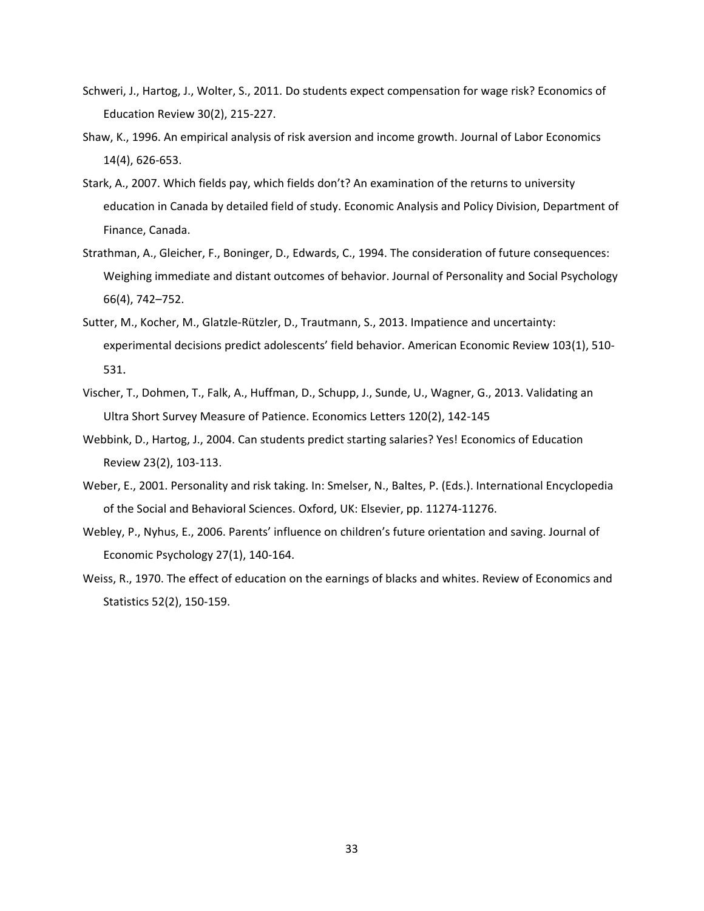- Schweri, J., Hartog, J., Wolter, S., 2011. Do students expect compensation for wage risk? Economics of Education Review 30(2), 215-227.
- Shaw, K., 1996. An empirical analysis of risk aversion and income growth. Journal of Labor Economics 14(4), 626-653.
- Stark, A., 2007. Which fields pay, which fields don't? An examination of the returns to university education in Canada by detailed field of study. Economic Analysis and Policy Division, Department of Finance, Canada.
- Strathman, A., Gleicher, F., Boninger, D., Edwards, C., 1994. The consideration of future consequences: Weighing immediate and distant outcomes of behavior. Journal of Personality and Social Psychology 66(4), 742–752.
- Sutter, M., Kocher, M., Glatzle-Rützler, D., Trautmann, S., 2013. Impatience and uncertainty: experimental decisions predict adolescents' field behavior. American Economic Review 103(1), 510- 531.
- Vischer, T., Dohmen, T., Falk, A., Huffman, D., Schupp, J., Sunde, U., Wagner, G., 2013. Validating an Ultra Short Survey Measure of Patience. Economics Letters 120(2), 142-145
- Webbink, D., Hartog, J., 2004. Can students predict starting salaries? Yes! Economics of Education Review 23(2), 103-113.
- Weber, E., 2001. Personality and risk taking. In: Smelser, N., Baltes, P. (Eds.). International Encyclopedia of the Social and Behavioral Sciences. Oxford, UK: Elsevier, pp. 11274-11276.
- Webley, P., Nyhus, E., 2006. Parents' influence on children's future orientation and saving. Journal of Economic Psychology 27(1), 140-164.
- Weiss, R., 1970. The effect of education on the earnings of blacks and whites. Review of Economics and Statistics 52(2), 150-159.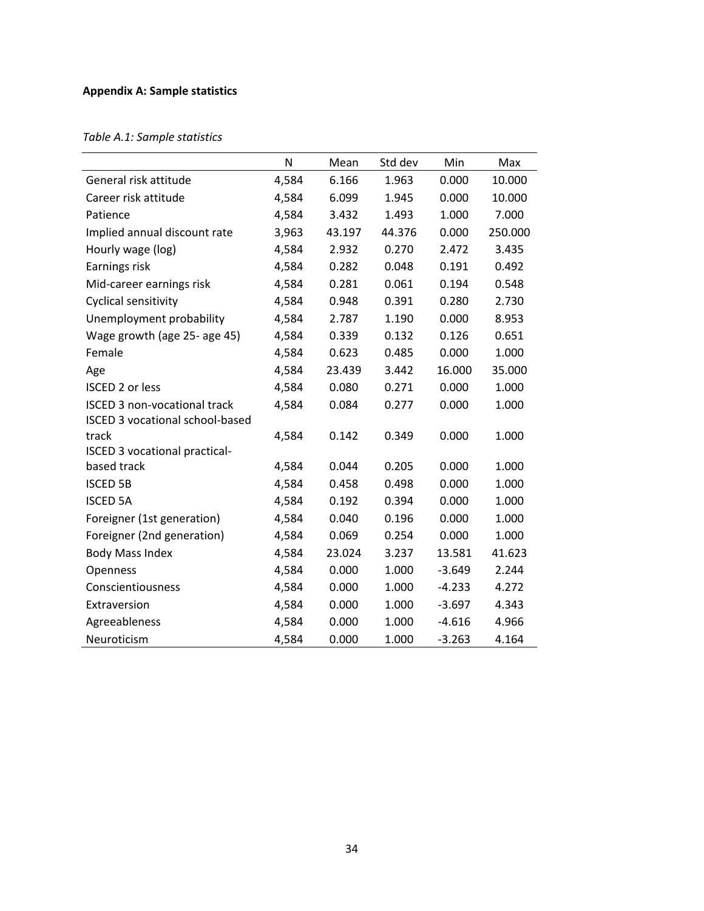## **Appendix A: Sample statistics**

## *Table A.1: Sample statistics*

|                                        | ${\sf N}$ | Mean   | Std dev | Min      | Max     |
|----------------------------------------|-----------|--------|---------|----------|---------|
| General risk attitude                  | 4,584     | 6.166  | 1.963   | 0.000    | 10.000  |
| Career risk attitude                   | 4,584     | 6.099  | 1.945   | 0.000    | 10.000  |
| Patience                               | 4,584     | 3.432  | 1.493   | 1.000    | 7.000   |
| Implied annual discount rate           | 3,963     | 43.197 | 44.376  | 0.000    | 250.000 |
| Hourly wage (log)                      | 4,584     | 2.932  | 0.270   | 2.472    | 3.435   |
| Earnings risk                          | 4,584     | 0.282  | 0.048   | 0.191    | 0.492   |
| Mid-career earnings risk               | 4,584     | 0.281  | 0.061   | 0.194    | 0.548   |
| Cyclical sensitivity                   | 4,584     | 0.948  | 0.391   | 0.280    | 2.730   |
| Unemployment probability               | 4,584     | 2.787  | 1.190   | 0.000    | 8.953   |
| Wage growth (age 25- age 45)           | 4,584     | 0.339  | 0.132   | 0.126    | 0.651   |
| Female                                 | 4,584     | 0.623  | 0.485   | 0.000    | 1.000   |
| Age                                    | 4,584     | 23.439 | 3.442   | 16.000   | 35.000  |
| <b>ISCED 2 or less</b>                 | 4,584     | 0.080  | 0.271   | 0.000    | 1.000   |
| <b>ISCED 3 non-vocational track</b>    | 4,584     | 0.084  | 0.277   | 0.000    | 1.000   |
| <b>ISCED 3 vocational school-based</b> |           |        |         |          |         |
| track                                  | 4,584     | 0.142  | 0.349   | 0.000    | 1.000   |
| ISCED 3 vocational practical-          |           |        |         |          |         |
| based track                            | 4,584     | 0.044  | 0.205   | 0.000    | 1.000   |
| <b>ISCED 5B</b>                        | 4,584     | 0.458  | 0.498   | 0.000    | 1.000   |
| <b>ISCED 5A</b>                        | 4,584     | 0.192  | 0.394   | 0.000    | 1.000   |
| Foreigner (1st generation)             | 4,584     | 0.040  | 0.196   | 0.000    | 1.000   |
| Foreigner (2nd generation)             | 4,584     | 0.069  | 0.254   | 0.000    | 1.000   |
| <b>Body Mass Index</b>                 | 4,584     | 23.024 | 3.237   | 13.581   | 41.623  |
| Openness                               | 4,584     | 0.000  | 1.000   | $-3.649$ | 2.244   |
| Conscientiousness                      | 4,584     | 0.000  | 1.000   | $-4.233$ | 4.272   |
| Extraversion                           | 4,584     | 0.000  | 1.000   | $-3.697$ | 4.343   |
| Agreeableness                          | 4,584     | 0.000  | 1.000   | $-4.616$ | 4.966   |
| Neuroticism                            | 4,584     | 0.000  | 1.000   | $-3.263$ | 4.164   |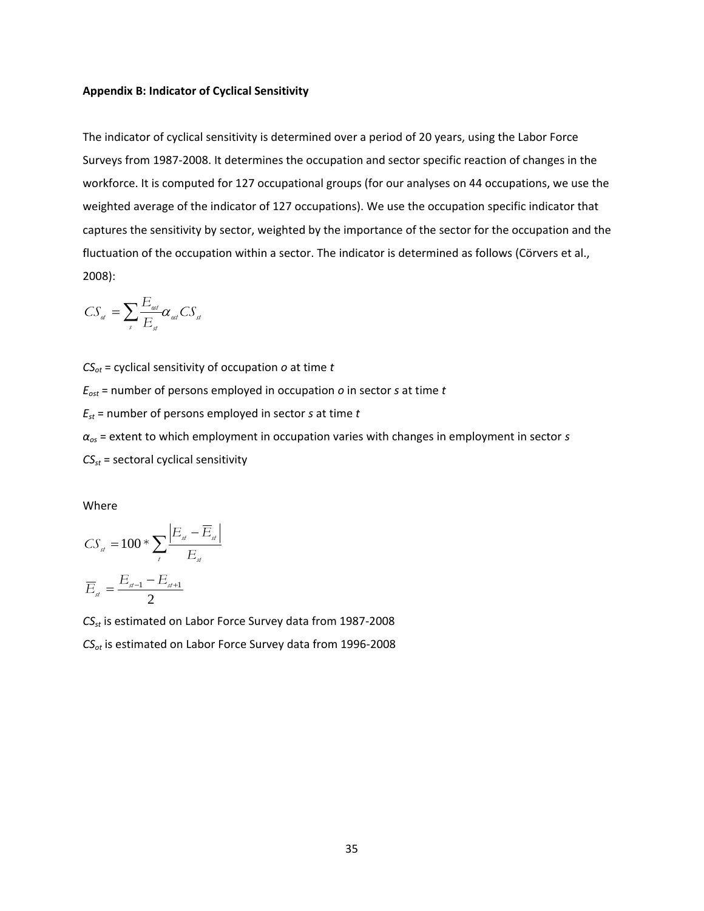#### **Appendix B: Indicator of Cyclical Sensitivity**

The indicator of cyclical sensitivity is determined over a period of 20 years, using the Labor Force Surveys from 1987-2008. It determines the occupation and sector specific reaction of changes in the workforce. It is computed for 127 occupational groups (for our analyses on 44 occupations, we use the weighted average of the indicator of 127 occupations). We use the occupation specific indicator that captures the sensitivity by sector, weighted by the importance of the sector for the occupation and the fluctuation of the occupation within a sector. The indicator is determined as follows (Cörvers et al., 2008):

$$
CS_{\alpha} = \sum_{s} \frac{E_{\text{at}}}{E_{\text{at}}} \alpha_{\text{at}} CS_{\text{at}}
$$

*CSot* = cyclical sensitivity of occupation *o* at time *t Eost* = number of persons employed in occupation *o* in sector *s* at time *t Est* = number of persons employed in sector *s* at time *t αos* = extent to which employment in occupation varies with changes in employment in sector *s CSst* = sectoral cyclical sensitivity

Where

$$
CS_{st} = 100 * \sum_{i} \frac{|E_{st} - \overline{E}_{st}|}{E_{st}}
$$

$$
\overline{E}_{st} = \frac{E_{st-1} - E_{st+1}}{2}
$$

*CSst* is estimated on Labor Force Survey data from 1987-2008 *CSot* is estimated on Labor Force Survey data from 1996-2008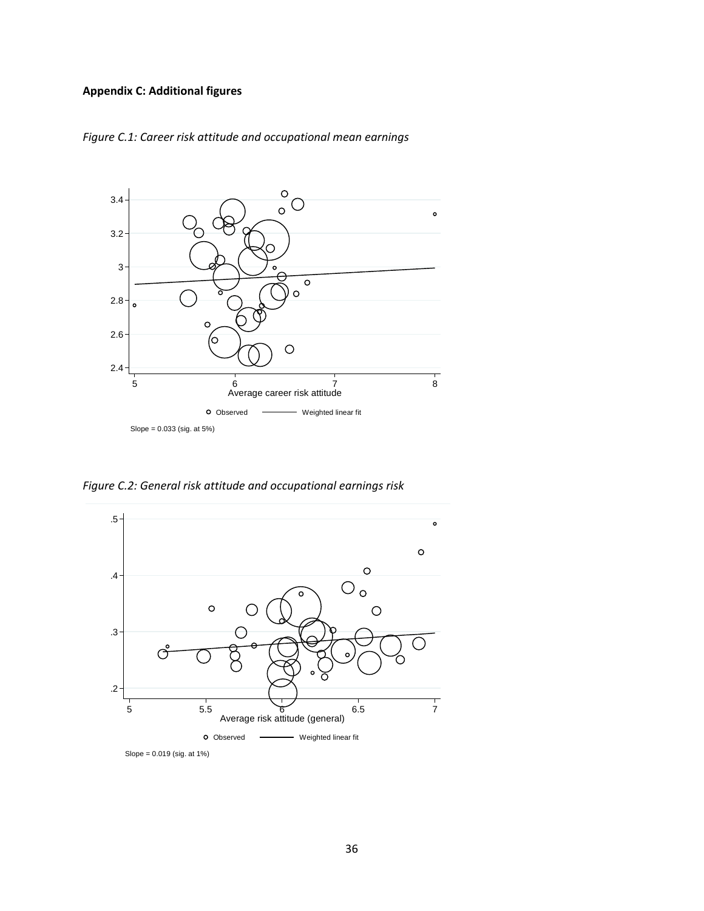### **Appendix C: Additional figures**



*Figure C.1: Career risk attitude and occupational mean earnings*

*Figure C.2: General risk attitude and occupational earnings risk*